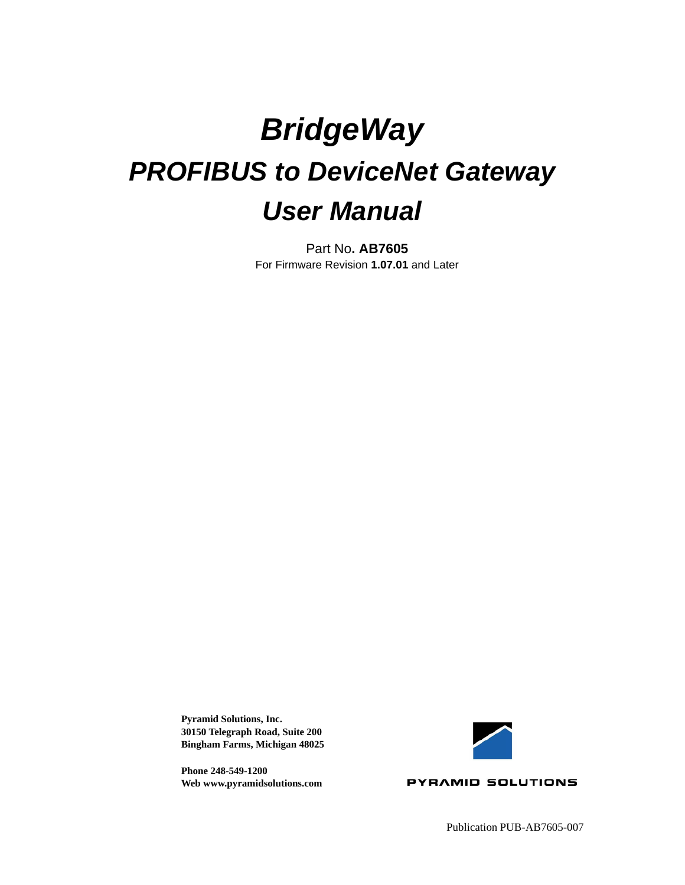# *BridgeWay PROFIBUS to DeviceNet Gateway User Manual*

Part No**. AB7605** For Firmware Revision **1.07.01** and Later

**Pyramid Solutions, Inc. 30150 Telegraph Road, Suite 200 Bingham Farms, Michigan 48025**

**Phone 248-549-1200 Web www.pyramidsolutions.com**



**PYRAMID SOLUTIONS**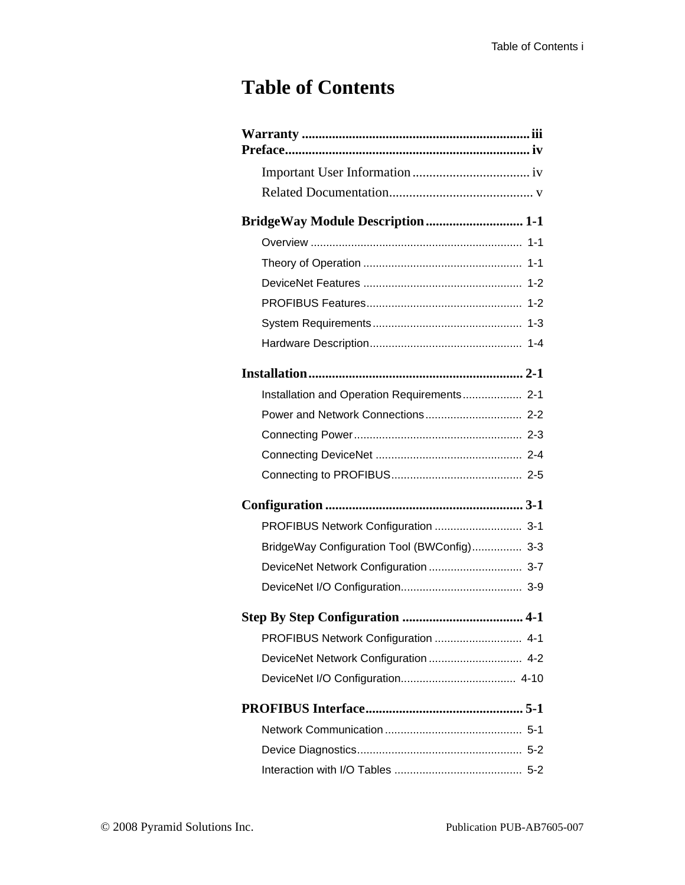### **Table of Contents**

| <b>BridgeWay Module Description 1-1</b>     |
|---------------------------------------------|
|                                             |
|                                             |
|                                             |
|                                             |
|                                             |
|                                             |
|                                             |
| Installation and Operation Requirements 2-1 |
|                                             |
|                                             |
|                                             |
|                                             |
|                                             |
| PROFIBUS Network Configuration  3-1         |
| BridgeWay Configuration Tool (BWConfig) 3-3 |
| DeviceNet Network Configuration  3-7        |
|                                             |
|                                             |
|                                             |
| PROFIBUS Network Configuration  4-1         |
|                                             |
| DeviceNet Network Configuration  4-2        |
|                                             |
|                                             |
|                                             |
|                                             |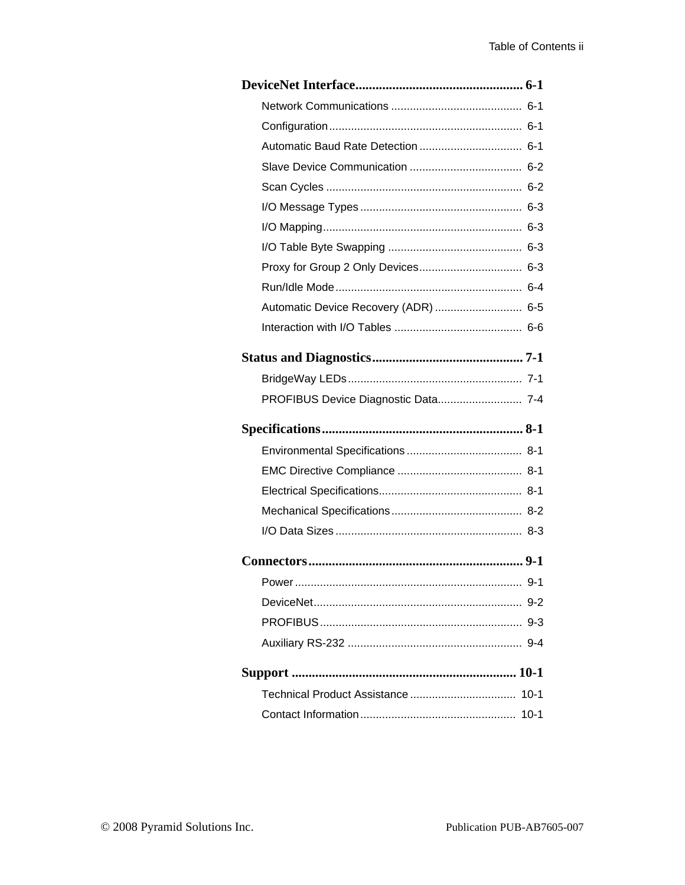| Automatic Device Recovery (ADR)  6-5 |
|--------------------------------------|
|                                      |
|                                      |
|                                      |
| PROFIBUS Device Diagnostic Data 7-4  |
|                                      |
|                                      |
|                                      |
|                                      |
|                                      |
|                                      |
|                                      |
|                                      |
|                                      |
|                                      |
|                                      |
|                                      |
|                                      |
|                                      |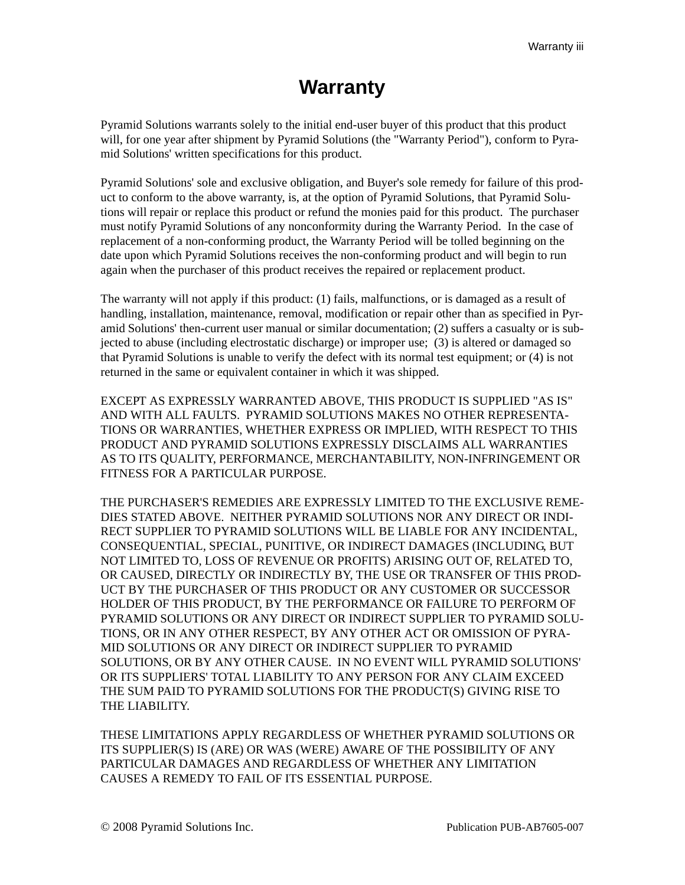### **Warranty**

<span id="page-3-0"></span>Pyramid Solutions warrants solely to the initial end-user buyer of this product that this product will, for one year after shipment by Pyramid Solutions (the "Warranty Period"), conform to Pyramid Solutions' written specifications for this product.

Pyramid Solutions' sole and exclusive obligation, and Buyer's sole remedy for failure of this product to conform to the above warranty, is, at the option of Pyramid Solutions, that Pyramid Solutions will repair or replace this product or refund the monies paid for this product. The purchaser must notify Pyramid Solutions of any nonconformity during the Warranty Period. In the case of replacement of a non-conforming product, the Warranty Period will be tolled beginning on the date upon which Pyramid Solutions receives the non-conforming product and will begin to run again when the purchaser of this product receives the repaired or replacement product.

The warranty will not apply if this product: (1) fails, malfunctions, or is damaged as a result of handling, installation, maintenance, removal, modification or repair other than as specified in Pyramid Solutions' then-current user manual or similar documentation; (2) suffers a casualty or is subjected to abuse (including electrostatic discharge) or improper use; (3) is altered or damaged so that Pyramid Solutions is unable to verify the defect with its normal test equipment; or (4) is not returned in the same or equivalent container in which it was shipped.

EXCEPT AS EXPRESSLY WARRANTED ABOVE, THIS PRODUCT IS SUPPLIED "AS IS" AND WITH ALL FAULTS. PYRAMID SOLUTIONS MAKES NO OTHER REPRESENTA-TIONS OR WARRANTIES, WHETHER EXPRESS OR IMPLIED, WITH RESPECT TO THIS PRODUCT AND PYRAMID SOLUTIONS EXPRESSLY DISCLAIMS ALL WARRANTIES AS TO ITS QUALITY, PERFORMANCE, MERCHANTABILITY, NON-INFRINGEMENT OR FITNESS FOR A PARTICULAR PURPOSE.

THE PURCHASER'S REMEDIES ARE EXPRESSLY LIMITED TO THE EXCLUSIVE REME-DIES STATED ABOVE. NEITHER PYRAMID SOLUTIONS NOR ANY DIRECT OR INDI-RECT SUPPLIER TO PYRAMID SOLUTIONS WILL BE LIABLE FOR ANY INCIDENTAL, CONSEQUENTIAL, SPECIAL, PUNITIVE, OR INDIRECT DAMAGES (INCLUDING, BUT NOT LIMITED TO, LOSS OF REVENUE OR PROFITS) ARISING OUT OF, RELATED TO, OR CAUSED, DIRECTLY OR INDIRECTLY BY, THE USE OR TRANSFER OF THIS PROD-UCT BY THE PURCHASER OF THIS PRODUCT OR ANY CUSTOMER OR SUCCESSOR HOLDER OF THIS PRODUCT, BY THE PERFORMANCE OR FAILURE TO PERFORM OF PYRAMID SOLUTIONS OR ANY DIRECT OR INDIRECT SUPPLIER TO PYRAMID SOLU-TIONS, OR IN ANY OTHER RESPECT, BY ANY OTHER ACT OR OMISSION OF PYRA-MID SOLUTIONS OR ANY DIRECT OR INDIRECT SUPPLIER TO PYRAMID SOLUTIONS, OR BY ANY OTHER CAUSE. IN NO EVENT WILL PYRAMID SOLUTIONS' OR ITS SUPPLIERS' TOTAL LIABILITY TO ANY PERSON FOR ANY CLAIM EXCEED THE SUM PAID TO PYRAMID SOLUTIONS FOR THE PRODUCT(S) GIVING RISE TO THE LIABILITY.

THESE LIMITATIONS APPLY REGARDLESS OF WHETHER PYRAMID SOLUTIONS OR ITS SUPPLIER(S) IS (ARE) OR WAS (WERE) AWARE OF THE POSSIBILITY OF ANY PARTICULAR DAMAGES AND REGARDLESS OF WHETHER ANY LIMITATION CAUSES A REMEDY TO FAIL OF ITS ESSENTIAL PURPOSE.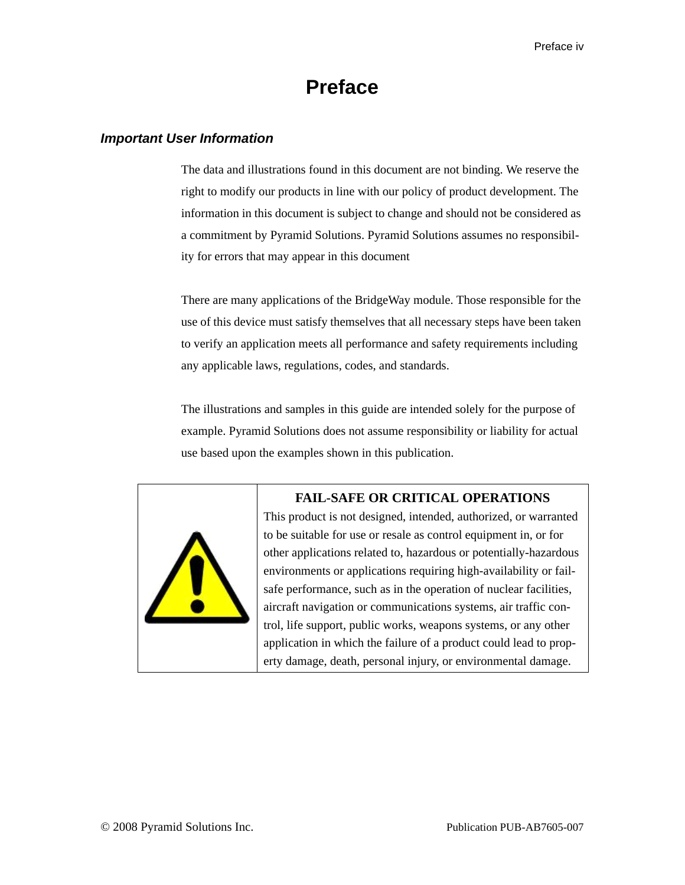### **Preface**

### <span id="page-4-1"></span><span id="page-4-0"></span>*Important User Information*

The data and illustrations found in this document are not binding. We reserve the right to modify our products in line with our policy of product development. The information in this document is subject to change and should not be considered as a commitment by Pyramid Solutions. Pyramid Solutions assumes no responsibility for errors that may appear in this document

There are many applications of the BridgeWay module. Those responsible for the use of this device must satisfy themselves that all necessary steps have been taken to verify an application meets all performance and safety requirements including any applicable laws, regulations, codes, and standards.

The illustrations and samples in this guide are intended solely for the purpose of example. Pyramid Solutions does not assume responsibility or liability for actual use based upon the examples shown in this publication.



### **FAIL-SAFE OR CRITICAL OPERATIONS**

This product is not designed, intended, authorized, or warranted to be suitable for use or resale as control equipment in, or for other applications related to, hazardous or potentially-hazardous environments or applications requiring high-availability or failsafe performance, such as in the operation of nuclear facilities, aircraft navigation or communications systems, air traffic control, life support, public works, weapons systems, or any other application in which the failure of a product could lead to property damage, death, personal injury, or environmental damage.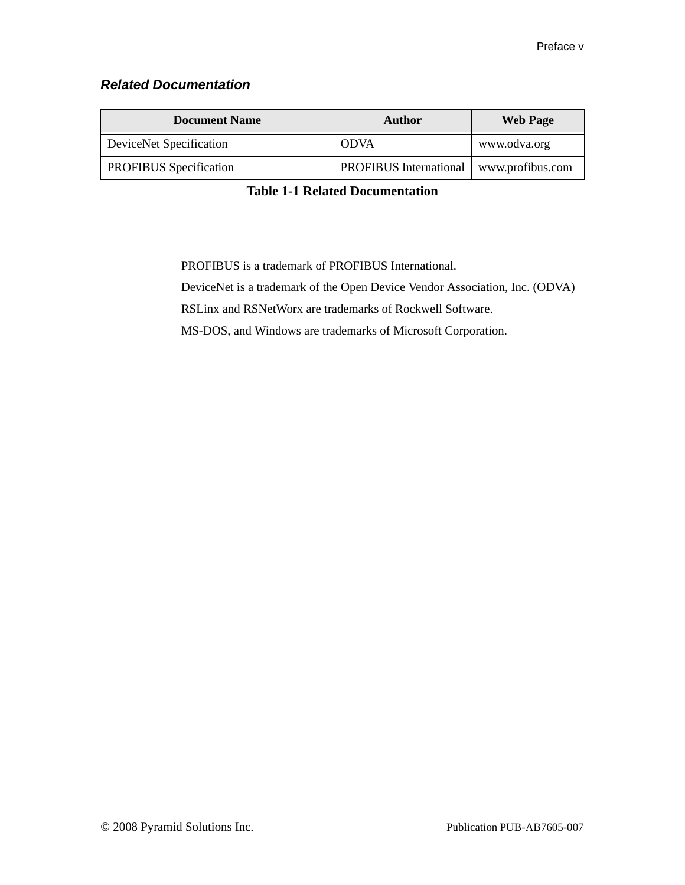### <span id="page-5-0"></span>*Related Documentation*

| <b>Document Name</b>          | Author                                    | <b>Web Page</b> |
|-------------------------------|-------------------------------------------|-----------------|
| DeviceNet Specification       | <b>ODVA</b>                               | www.odva.org    |
| <b>PROFIBUS</b> Specification | PROFIBUS International   www.profibus.com |                 |

**Table 1-1 Related Documentation**

PROFIBUS is a trademark of PROFIBUS International.

DeviceNet is a trademark of the Open Device Vendor Association, Inc. (ODVA)

RSLinx and RSNetWorx are trademarks of Rockwell Software.

MS-DOS, and Windows are trademarks of Microsoft Corporation.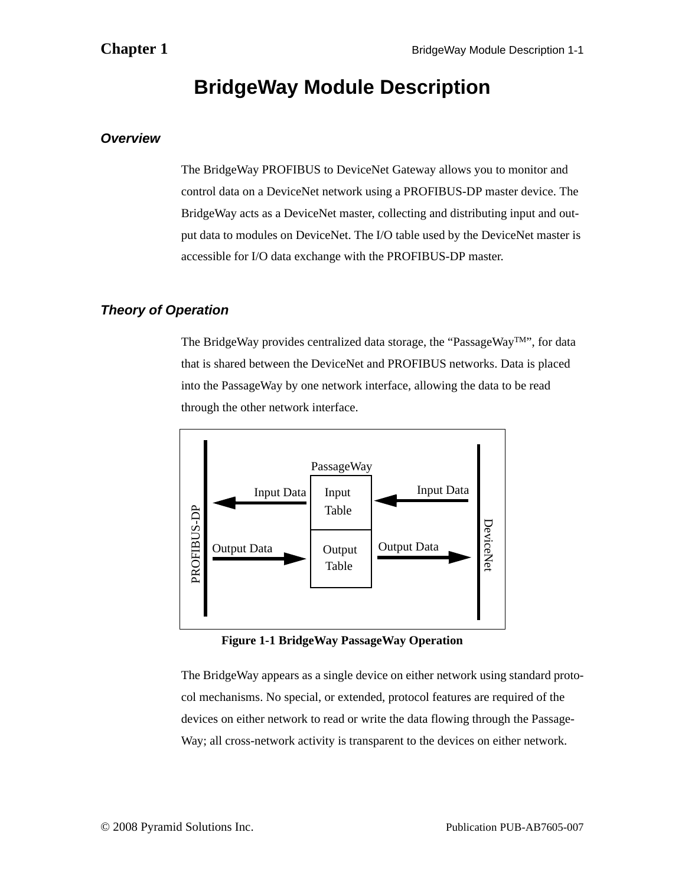### **BridgeWay Module Description**

### <span id="page-6-1"></span><span id="page-6-0"></span>*Overview*

The BridgeWay PROFIBUS to DeviceNet Gateway allows you to monitor and control data on a DeviceNet network using a PROFIBUS-DP master device. The BridgeWay acts as a DeviceNet master, collecting and distributing input and output data to modules on DeviceNet. The I/O table used by the DeviceNet master is accessible for I/O data exchange with the PROFIBUS-DP master.

### <span id="page-6-3"></span><span id="page-6-2"></span>*Theory of Operation*

The BridgeWay provides centralized data storage, the "PassageWayTM", for data that is shared between the DeviceNet and PROFIBUS networks. Data is placed into the PassageWay by one network interface, allowing the data to be read through the other network interface.



**Figure 1-1 BridgeWay PassageWay Operation**

The BridgeWay appears as a single device on either network using standard protocol mechanisms. No special, or extended, protocol features are required of the devices on either network to read or write the data flowing through the Passage-Way; all cross-network activity is transparent to the devices on either network.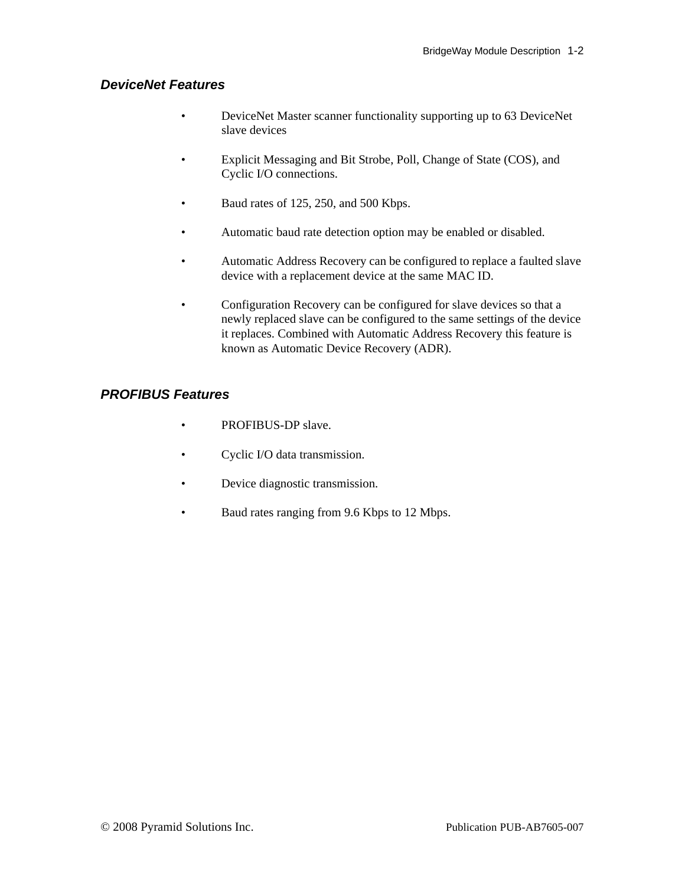### <span id="page-7-0"></span>*DeviceNet Features*

- DeviceNet Master scanner functionality supporting up to 63 DeviceNet slave devices
- Explicit Messaging and Bit Strobe, Poll, Change of State (COS), and Cyclic I/O connections.
- Baud rates of 125, 250, and 500 Kbps.
- Automatic baud rate detection option may be enabled or disabled.
- Automatic Address Recovery can be configured to replace a faulted slave device with a replacement device at the same MAC ID.
- Configuration Recovery can be configured for slave devices so that a newly replaced slave can be configured to the same settings of the device it replaces. Combined with Automatic Address Recovery this feature is known as Automatic Device Recovery (ADR).

### <span id="page-7-1"></span>*PROFIBUS Features*

- PROFIBUS-DP slave.
- Cyclic I/O data transmission.
- Device diagnostic transmission.
- Baud rates ranging from 9.6 Kbps to 12 Mbps.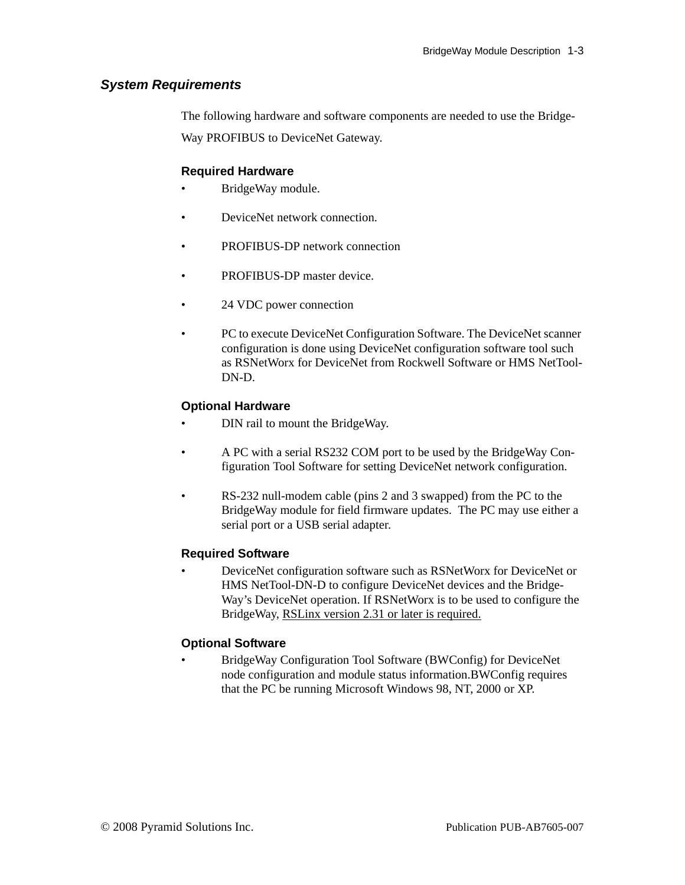### <span id="page-8-0"></span>*System Requirements*

The following hardware and software components are needed to use the Bridge-

Way PROFIBUS to DeviceNet Gateway.

### **Required Hardware**

- BridgeWay module.
- DeviceNet network connection.
- PROFIBUS-DP network connection
- PROFIBUS-DP master device.
- 24 VDC power connection
- PC to execute DeviceNet Configuration Software. The DeviceNet scanner configuration is done using DeviceNet configuration software tool such as RSNetWorx for DeviceNet from Rockwell Software or HMS NetTool-DN-D.

### **Optional Hardware**

- DIN rail to mount the BridgeWay.
- A PC with a serial RS232 COM port to be used by the BridgeWay Configuration Tool Software for setting DeviceNet network configuration.
- RS-232 null-modem cable (pins 2 and 3 swapped) from the PC to the BridgeWay module for field firmware updates. The PC may use either a serial port or a USB serial adapter.

### **Required Software**

• DeviceNet configuration software such as RSNetWorx for DeviceNet or HMS NetTool-DN-D to configure DeviceNet devices and the Bridge-Way's DeviceNet operation. If RSNetWorx is to be used to configure the BridgeWay, RSLinx version 2.31 or later is required.

### **Optional Software**

• BridgeWay Configuration Tool Software (BWConfig) for DeviceNet node configuration and module status information.BWConfig requires that the PC be running Microsoft Windows 98, NT, 2000 or XP.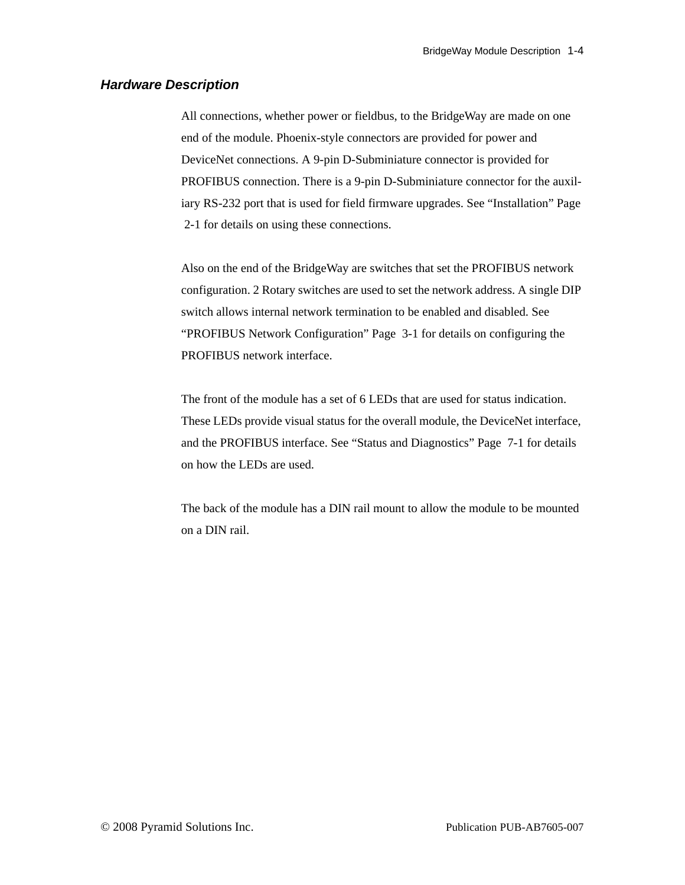### <span id="page-9-0"></span>*Hardware Description*

All connections, whether power or fieldbus, to the BridgeWay are made on one end of the module. Phoenix-style connectors are provided for power and DeviceNet connections. A 9-pin D-Subminiature connector is provided for PROFIBUS connection. There is a 9-pin D-Subminiature connector for the auxiliary RS-232 port that is used for field firmware upgrades. See ["Installation" Page](#page-10-2)  [2-1](#page-10-2) for details on using these connections.

Also on the end of the BridgeWay are switches that set the PROFIBUS network configuration. 2 Rotary switches are used to set the network address. A single DIP switch allows internal network termination to be enabled and disabled. See ["PROFIBUS Network Configuration" Page 3-1](#page-15-2) for details on configuring the PROFIBUS network interface.

The front of the module has a set of 6 LEDs that are used for status indication. These LEDs provide visual status for the overall module, the DeviceNet interface, and the PROFIBUS interface. See ["Status and Diagnostics" Page 7-1](#page-47-2) for details on how the LEDs are used.

The back of the module has a DIN rail mount to allow the module to be mounted on a DIN rail.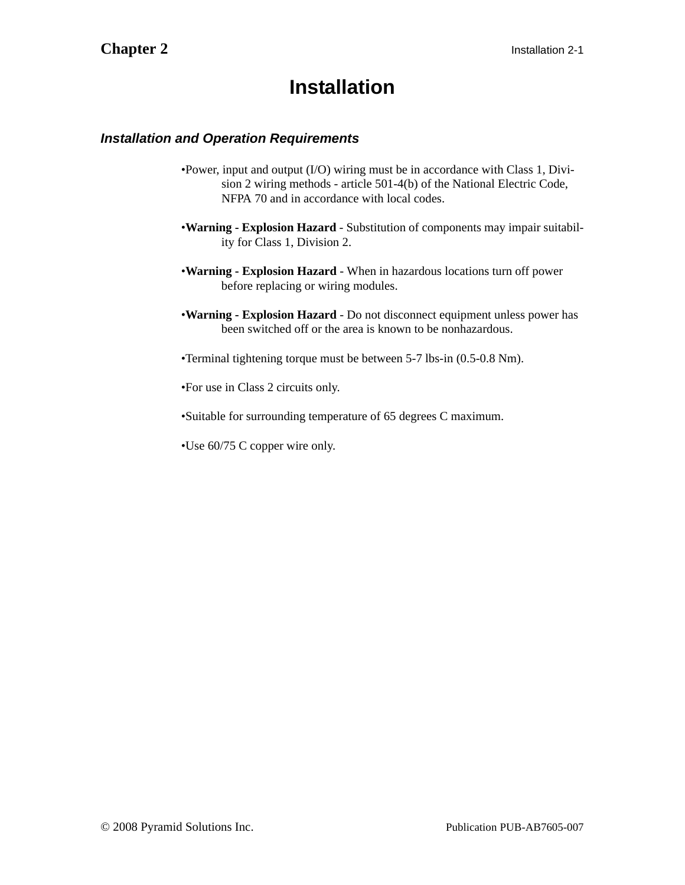### <span id="page-10-2"></span>**Installation**

### <span id="page-10-1"></span><span id="page-10-0"></span>*Installation and Operation Requirements*

- •Power, input and output (I/O) wiring must be in accordance with Class 1, Division 2 wiring methods - article 501-4(b) of the National Electric Code, NFPA 70 and in accordance with local codes.
- •**Warning Explosion Hazard** Substitution of components may impair suitability for Class 1, Division 2.
- •**Warning Explosion Hazard** When in hazardous locations turn off power before replacing or wiring modules.
- •**Warning Explosion Hazard** Do not disconnect equipment unless power has been switched off or the area is known to be nonhazardous.
- •Terminal tightening torque must be between 5-7 lbs-in (0.5-0.8 Nm).
- •For use in Class 2 circuits only.
- •Suitable for surrounding temperature of 65 degrees C maximum.
- •Use 60/75 C copper wire only.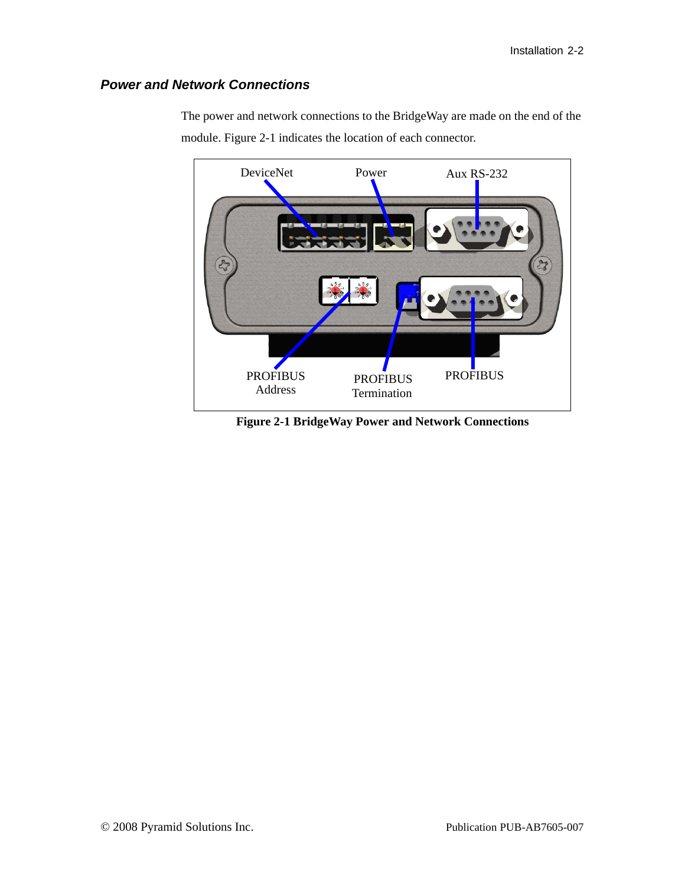### <span id="page-11-0"></span>*Power and Network Connections*



The power and network connections to the BridgeWay are made on the end of the module. [Figure 2-1](#page-11-1) indicates the location of each connector.

<span id="page-11-1"></span>**Figure 2-1 BridgeWay Power and Network Connections**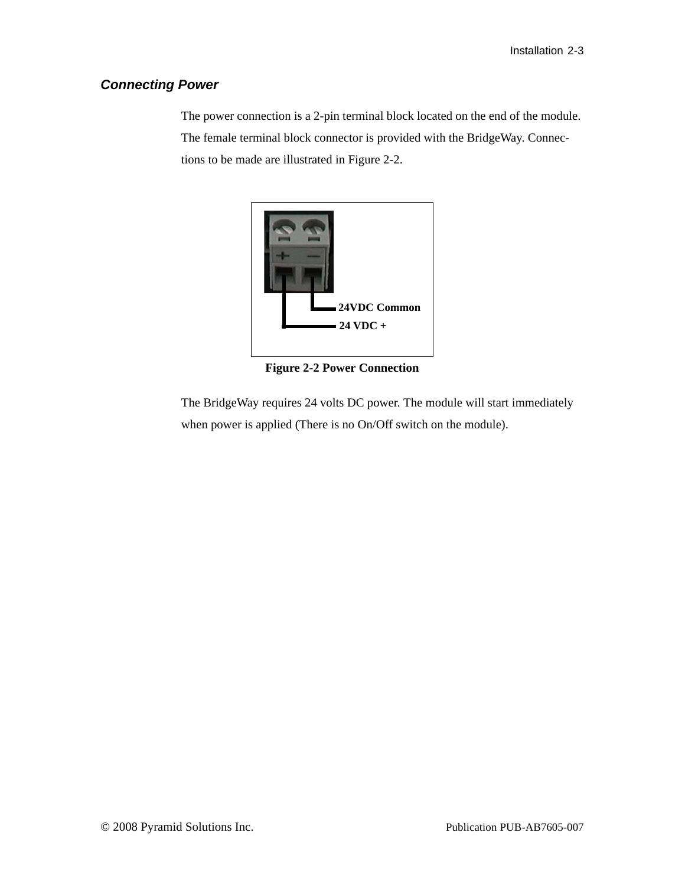### <span id="page-12-0"></span>*Connecting Power*

The power connection is a 2-pin terminal block located on the end of the module. The female terminal block connector is provided with the BridgeWay. Connections to be made are illustrated in [Figure 2-2](#page-12-1).



**Figure 2-2 Power Connection**

<span id="page-12-1"></span>The BridgeWay requires 24 volts DC power. The module will start immediately when power is applied (There is no On/Off switch on the module).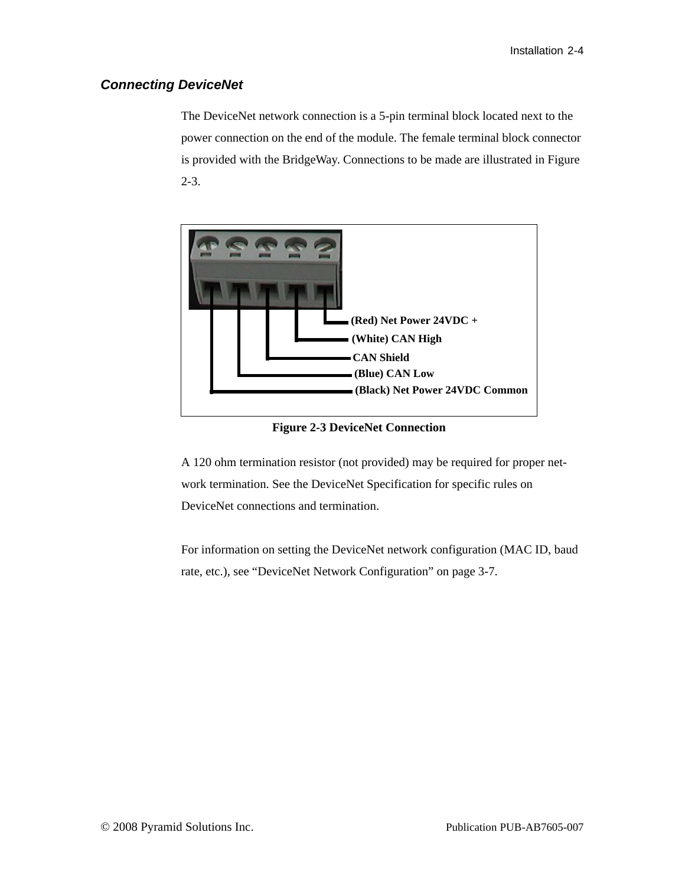### <span id="page-13-2"></span><span id="page-13-0"></span>*Connecting DeviceNet*

The DeviceNet network connection is a 5-pin terminal block located next to the power connection on the end of the module. The female terminal block connector is provided with the BridgeWay. Connections to be made are illustrated in [Figure](#page-13-1)  [2-3.](#page-13-1)



**Figure 2-3 DeviceNet Connection**

<span id="page-13-1"></span>A 120 ohm termination resistor (not provided) may be required for proper network termination. See the DeviceNet Specification for specific rules on DeviceNet connections and termination.

For information on setting the DeviceNet network configuration (MAC ID, baud rate, etc.), see ["DeviceNet Network Configuration" on page 3-7](#page-21-1).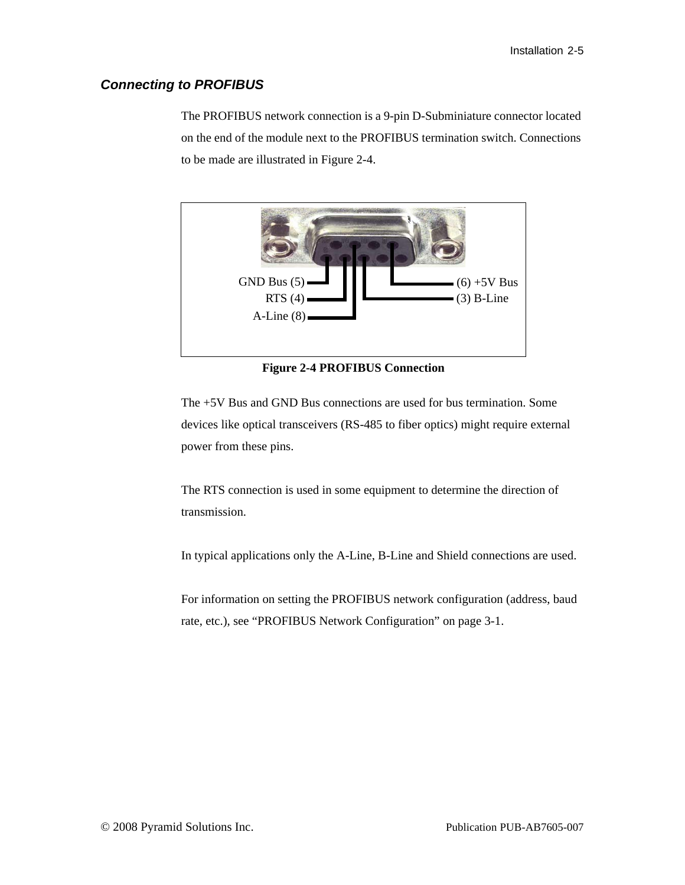### <span id="page-14-0"></span>*Connecting to PROFIBUS*

The PROFIBUS network connection is a 9-pin D-Subminiature connector located on the end of the module next to the PROFIBUS termination switch. Connections to be made are illustrated in [Figure 2-4](#page-14-1).



**Figure 2-4 PROFIBUS Connection**

<span id="page-14-1"></span>The +5V Bus and GND Bus connections are used for bus termination. Some devices like optical transceivers (RS-485 to fiber optics) might require external power from these pins.

The RTS connection is used in some equipment to determine the direction of transmission.

In typical applications only the A-Line, B-Line and Shield connections are used.

For information on setting the PROFIBUS network configuration (address, baud rate, etc.), see ["PROFIBUS Network Configuration" on page 3-1.](#page-15-2)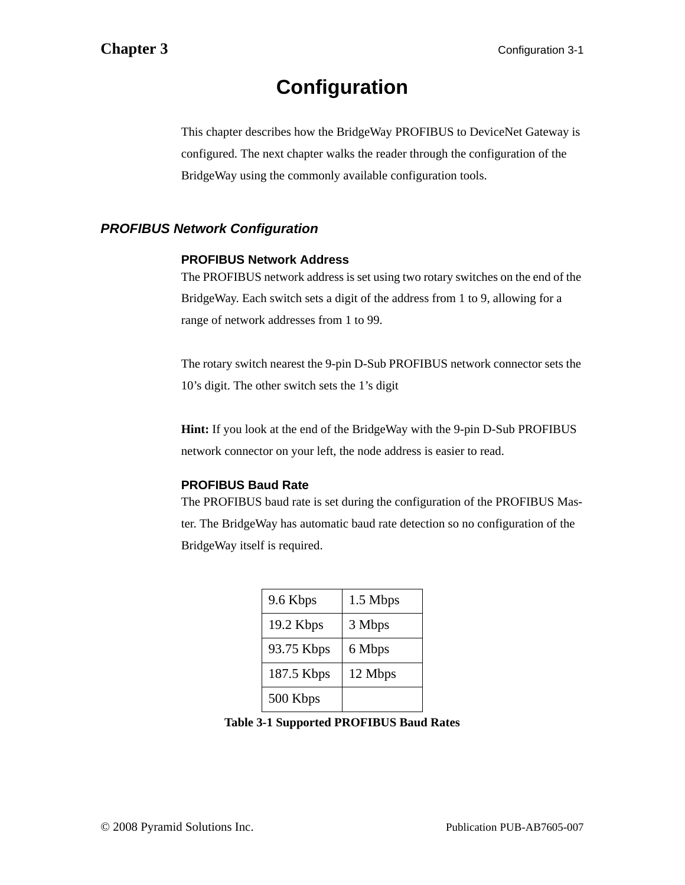## **Configuration**

<span id="page-15-0"></span>This chapter describes how the BridgeWay PROFIBUS to DeviceNet Gateway is configured. The next chapter walks the reader through the configuration of the BridgeWay using the commonly available configuration tools.

### <span id="page-15-2"></span><span id="page-15-1"></span>*PROFIBUS Network Configuration*

### **PROFIBUS Network Address**

The PROFIBUS network address is set using two rotary switches on the end of the BridgeWay. Each switch sets a digit of the address from 1 to 9, allowing for a range of network addresses from 1 to 99.

The rotary switch nearest the 9-pin D-Sub PROFIBUS network connector sets the 10's digit. The other switch sets the 1's digit

**Hint:** If you look at the end of the BridgeWay with the 9-pin D-Sub PROFIBUS network connector on your left, the node address is easier to read.

### **PROFIBUS Baud Rate**

The PROFIBUS baud rate is set during the configuration of the PROFIBUS Master. The BridgeWay has automatic baud rate detection so no configuration of the BridgeWay itself is required.

| 9.6 Kbps   | 1.5 Mbps |
|------------|----------|
| 19.2 Kbps  | 3 Mbps   |
| 93.75 Kbps | 6 Mbps   |
| 187.5 Kbps | 12 Mbps  |
| 500 Kbps   |          |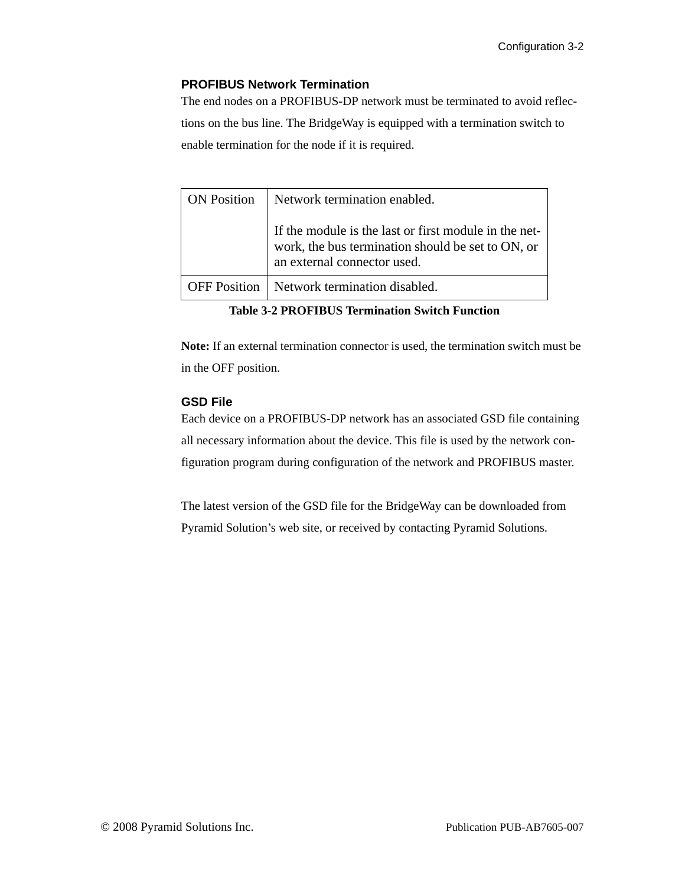### **PROFIBUS Network Termination**

The end nodes on a PROFIBUS-DP network must be terminated to avoid reflections on the bus line. The BridgeWay is equipped with a termination switch to enable termination for the node if it is required.

| <b>ON</b> Position | Network termination enabled.                                                                                                              |
|--------------------|-------------------------------------------------------------------------------------------------------------------------------------------|
|                    | If the module is the last or first module in the net-<br>work, the bus termination should be set to ON, or<br>an external connector used. |
|                    | <b>OFF Position</b>   Network termination disabled.                                                                                       |

**Table 3-2 PROFIBUS Termination Switch Function**

**Note:** If an external termination connector is used, the termination switch must be in the OFF position.

### **GSD File**

Each device on a PROFIBUS-DP network has an associated GSD file containing all necessary information about the device. This file is used by the network configuration program during configuration of the network and PROFIBUS master.

The latest version of the GSD file for the BridgeWay can be downloaded from Pyramid Solution's web site, or received by contacting Pyramid Solutions.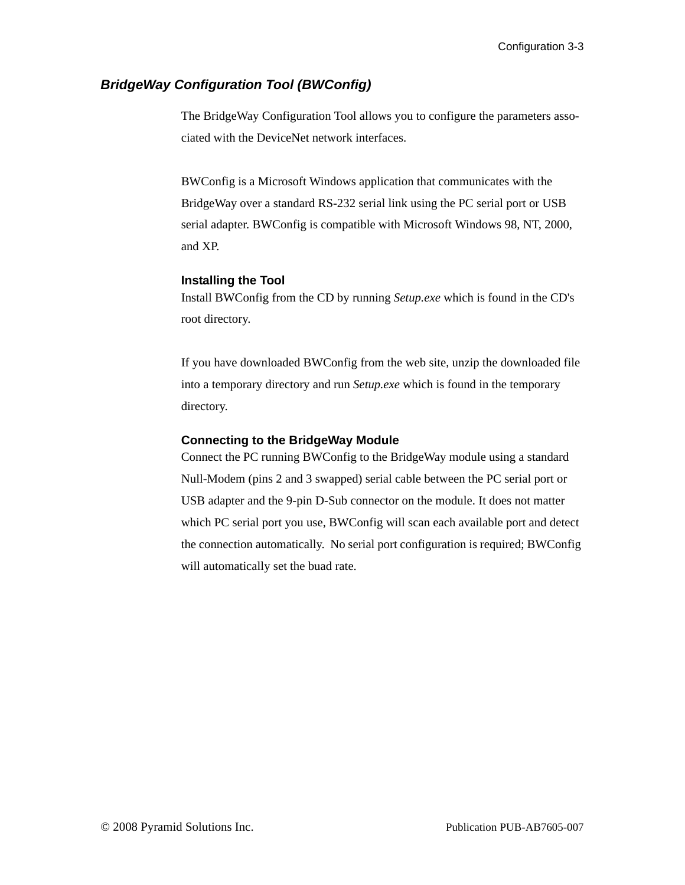### <span id="page-17-1"></span><span id="page-17-0"></span>*BridgeWay Configuration Tool (BWConfig)*

The BridgeWay Configuration Tool allows you to configure the parameters associated with the DeviceNet network interfaces.

BWConfig is a Microsoft Windows application that communicates with the BridgeWay over a standard RS-232 serial link using the PC serial port or USB serial adapter. BWConfig is compatible with Microsoft Windows 98, NT, 2000, and XP.

### **Installing the Tool**

Install BWConfig from the CD by running *Setup.exe* which is found in the CD's root directory.

If you have downloaded BWConfig from the web site, unzip the downloaded file into a temporary directory and run *Setup.exe* which is found in the temporary directory.

### **Connecting to the BridgeWay Module**

Connect the PC running BWConfig to the BridgeWay module using a standard Null-Modem (pins 2 and 3 swapped) serial cable between the PC serial port or USB adapter and the 9-pin D-Sub connector on the module. It does not matter which PC serial port you use, BWConfig will scan each available port and detect the connection automatically. No serial port configuration is required; BWConfig will automatically set the buad rate.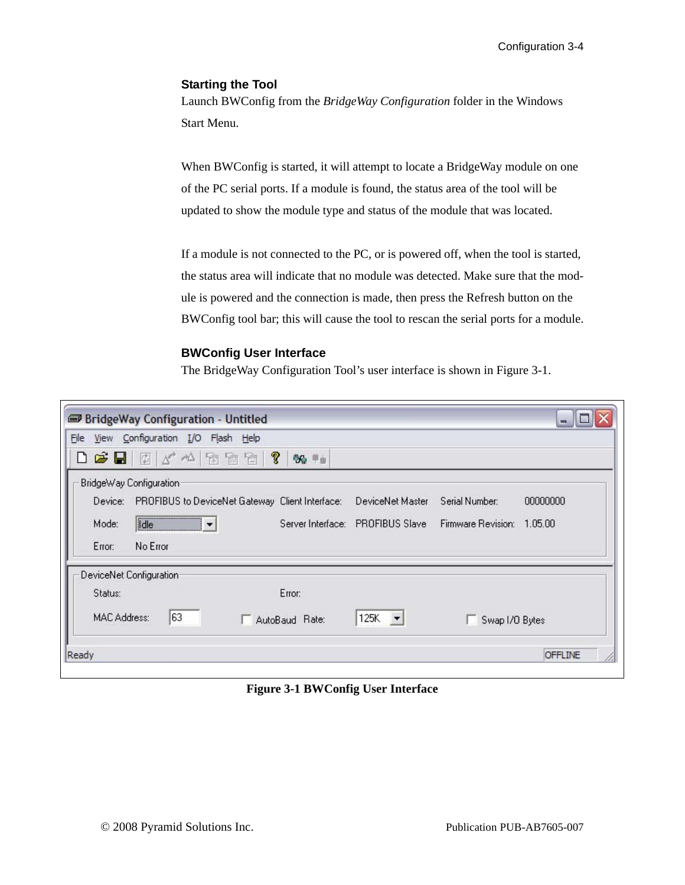### **Starting the Tool**

Launch BWConfig from the *BridgeWay Configuration* folder in the Windows Start Menu.

When BWConfig is started, it will attempt to locate a BridgeWay module on one of the PC serial ports. If a module is found, the status area of the tool will be updated to show the module type and status of the module that was located.

If a module is not connected to the PC, or is powered off, when the tool is started, the status area will indicate that no module was detected. Make sure that the module is powered and the connection is made, then press the Refresh button on the BWConfig tool bar; this will cause the tool to rescan the serial ports for a module.

### **BWConfig User Interface**

The BridgeWay Configuration Tool's user interface is shown in [Figure 3-1](#page-18-0).

| <b>BridgeWay Configuration - Untitled</b>               |                                  |                            | $\blacksquare$ |
|---------------------------------------------------------|----------------------------------|----------------------------|----------------|
| View Configuration I/O Flash Help<br>Eile               |                                  |                            |                |
| 0 6 日 日 4 ~ 1 2 2 2 2<br>99 年                           |                                  |                            |                |
| BridgeWay Configuration                                 |                                  |                            |                |
| Device: PROFIBUS to DeviceNet Gateway Client Interface: | DeviceNet Master                 | Serial Number:             | 00000000       |
| $\boxed{\underline{\text{idle}}}$<br>Mode:              | Server Interface: PROFIBUS Slave | Firmware Revision: 1.05.00 |                |
| No Error<br>Error:                                      |                                  |                            |                |
| DeviceNet Configuration                                 |                                  |                            |                |
| Error:<br>Status:                                       |                                  |                            |                |
| 63<br><b>MAC Address:</b><br>AutoBaud Rate:             | 125K $\blacktriangledown$        | Swap I/O Bytes             |                |
| Ready                                                   |                                  |                            | <b>OFFLINE</b> |

<span id="page-18-0"></span>**Figure 3-1 BWConfig User Interface**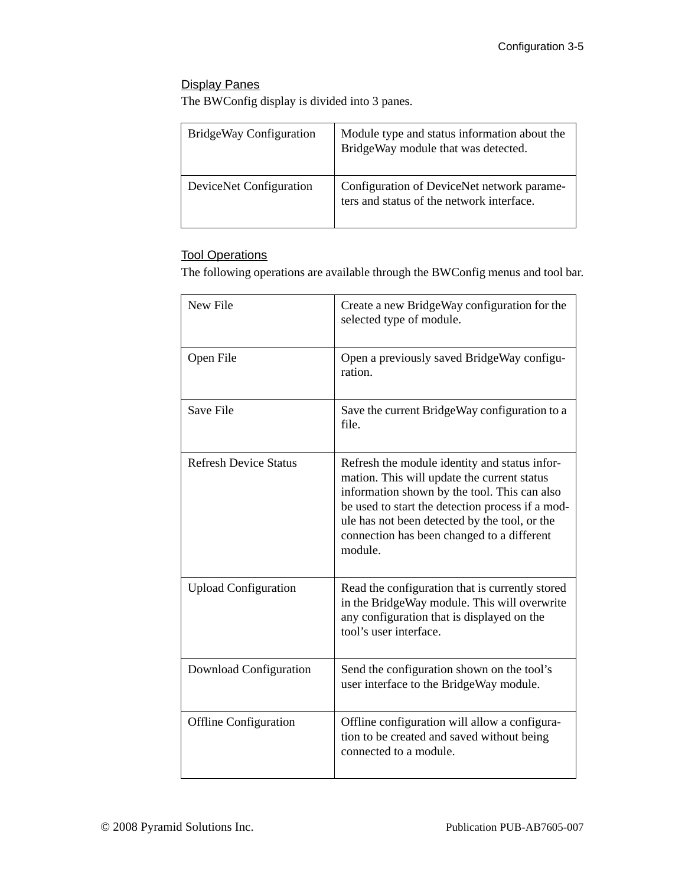### Display Panes

The BWConfig display is divided into 3 panes.

| BridgeWay Configuration | Module type and status information about the<br>BridgeWay module that was detected.     |
|-------------------------|-----------------------------------------------------------------------------------------|
| DeviceNet Configuration | Configuration of DeviceNet network parame-<br>ters and status of the network interface. |

### Tool Operations

The following operations are available through the BWConfig menus and tool bar.

| New File                     | Create a new BridgeWay configuration for the<br>selected type of module.                                                                                                                                                                                                                                   |
|------------------------------|------------------------------------------------------------------------------------------------------------------------------------------------------------------------------------------------------------------------------------------------------------------------------------------------------------|
| Open File                    | Open a previously saved BridgeWay configu-<br>ration.                                                                                                                                                                                                                                                      |
| Save File                    | Save the current BridgeWay configuration to a<br>file.                                                                                                                                                                                                                                                     |
| <b>Refresh Device Status</b> | Refresh the module identity and status infor-<br>mation. This will update the current status<br>information shown by the tool. This can also<br>be used to start the detection process if a mod-<br>ule has not been detected by the tool, or the<br>connection has been changed to a different<br>module. |
| <b>Upload Configuration</b>  | Read the configuration that is currently stored<br>in the BridgeWay module. This will overwrite<br>any configuration that is displayed on the<br>tool's user interface.                                                                                                                                    |
| Download Configuration       | Send the configuration shown on the tool's<br>user interface to the BridgeWay module.                                                                                                                                                                                                                      |
| <b>Offline Configuration</b> | Offline configuration will allow a configura-<br>tion to be created and saved without being<br>connected to a module.                                                                                                                                                                                      |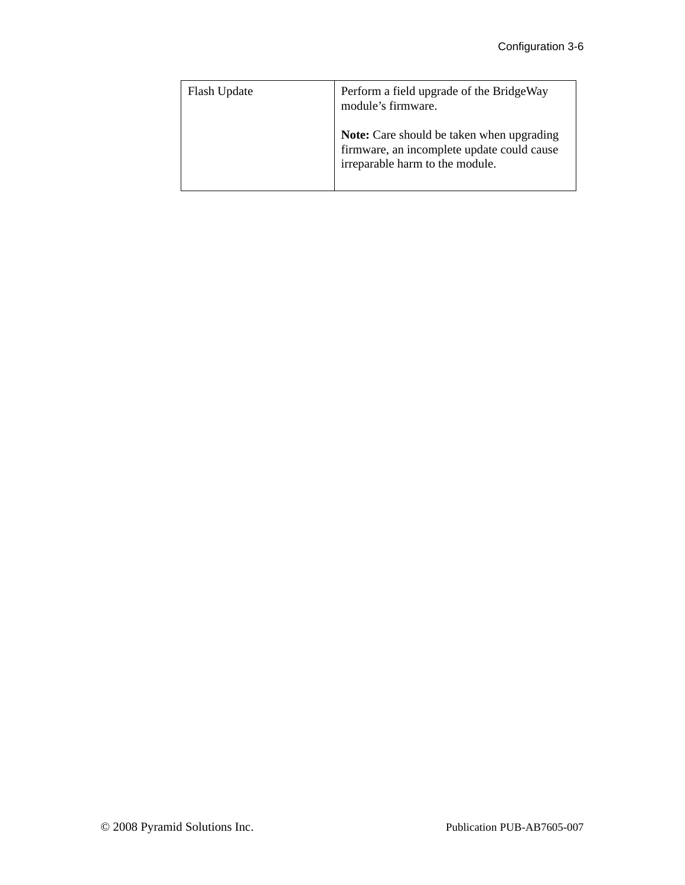| Flash Update | Perform a field upgrade of the BridgeWay<br>module's firmware.                                                                    |
|--------------|-----------------------------------------------------------------------------------------------------------------------------------|
|              | <b>Note:</b> Care should be taken when upgrading<br>firmware, an incomplete update could cause<br>irreparable harm to the module. |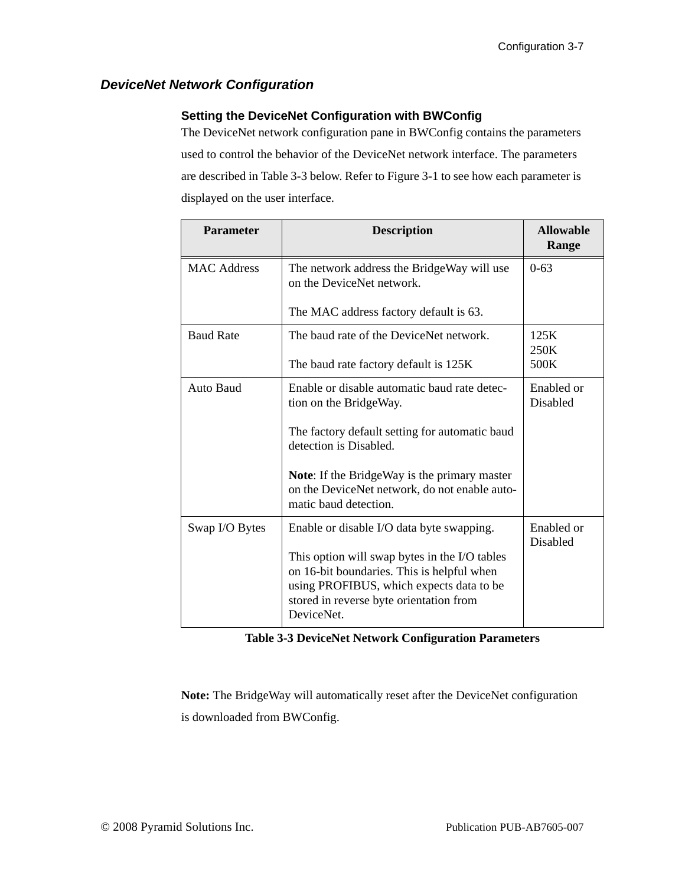### <span id="page-21-1"></span><span id="page-21-0"></span>*DeviceNet Network Configuration*

### **Setting the DeviceNet Configuration with BWConfig**

The DeviceNet network configuration pane in BWConfig contains the parameters used to control the behavior of the DeviceNet network interface. The parameters are described in [Table 3-3](#page-21-2) below. Refer to [Figure 3-1](#page-18-0) to see how each parameter is displayed on the user interface.

| <b>Parameter</b>   | <b>Description</b>                                                                                                                                                                               | <b>Allowable</b><br>Range |
|--------------------|--------------------------------------------------------------------------------------------------------------------------------------------------------------------------------------------------|---------------------------|
| <b>MAC Address</b> | The network address the BridgeWay will use<br>on the DeviceNet network.                                                                                                                          | $0 - 63$                  |
|                    | The MAC address factory default is 63.                                                                                                                                                           |                           |
| <b>Baud Rate</b>   | The baud rate of the DeviceNet network.                                                                                                                                                          | 125K<br>250K              |
|                    | The baud rate factory default is 125K                                                                                                                                                            | 500K                      |
| Auto Baud          | Enable or disable automatic baud rate detec-<br>tion on the BridgeWay.                                                                                                                           | Enabled or<br>Disabled    |
|                    | The factory default setting for automatic baud<br>detection is Disabled.                                                                                                                         |                           |
|                    | Note: If the BridgeWay is the primary master<br>on the DeviceNet network, do not enable auto-<br>matic baud detection.                                                                           |                           |
| Swap I/O Bytes     | Enable or disable I/O data byte swapping.                                                                                                                                                        | Enabled or<br>Disabled    |
|                    | This option will swap bytes in the I/O tables<br>on 16-bit boundaries. This is helpful when<br>using PROFIBUS, which expects data to be<br>stored in reverse byte orientation from<br>DeviceNet. |                           |

<span id="page-21-3"></span>

<span id="page-21-2"></span>**Note:** The BridgeWay will automatically reset after the DeviceNet configuration is downloaded from BWConfig.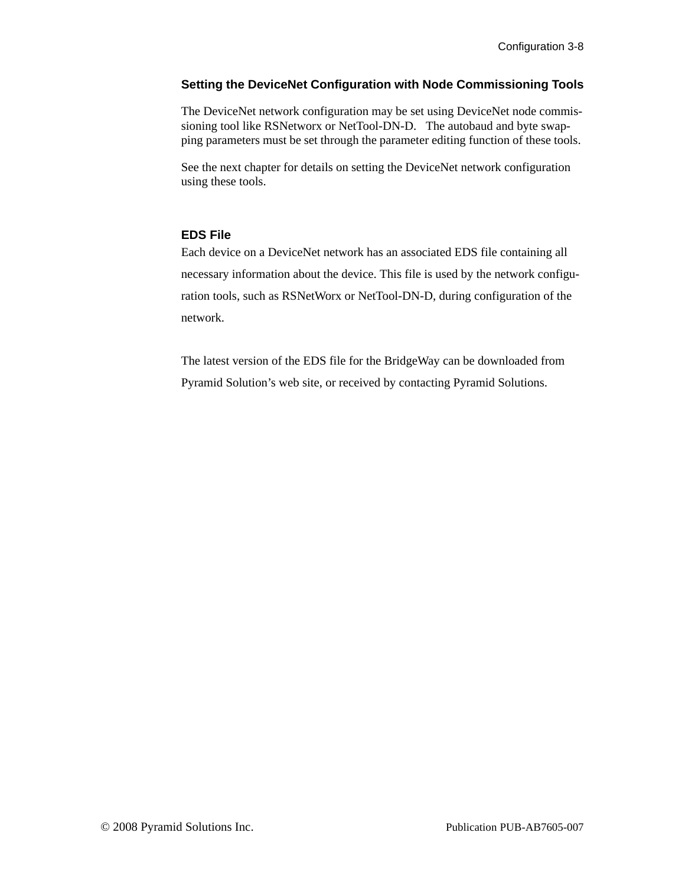### **Setting the DeviceNet Configuration with Node Commissioning Tools**

The DeviceNet network configuration may be set using DeviceNet node commissioning tool like RSNetworx or NetTool-DN-D. The autobaud and byte swapping parameters must be set through the parameter editing function of these tools.

See the next chapter for details on setting the DeviceNet network configuration using these tools.

### **EDS File**

Each device on a DeviceNet network has an associated EDS file containing all necessary information about the device. This file is used by the network configuration tools, such as RSNetWorx or NetTool-DN-D, during configuration of the network.

The latest version of the EDS file for the BridgeWay can be downloaded from Pyramid Solution's web site, or received by contacting Pyramid Solutions.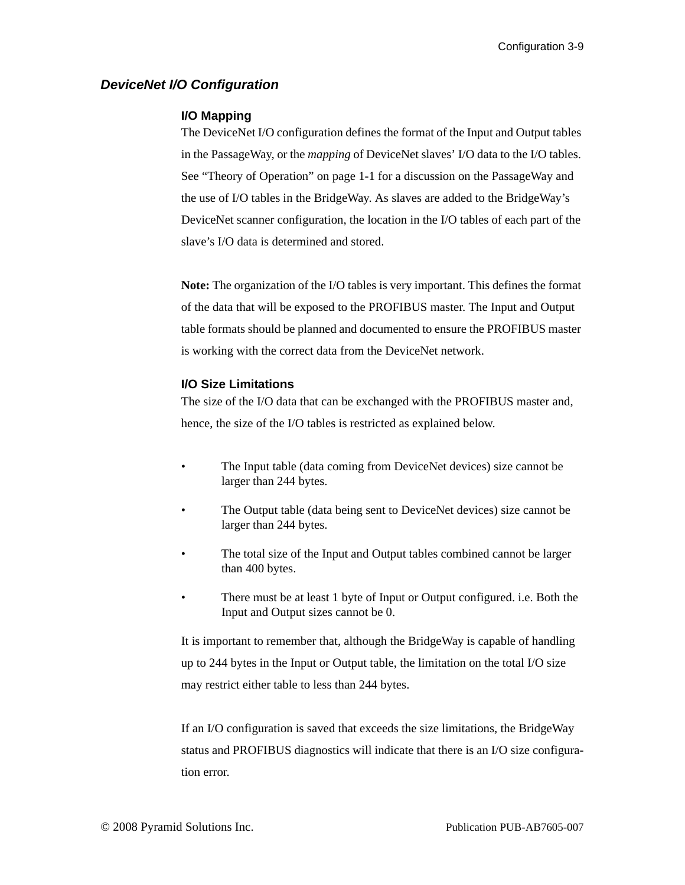### <span id="page-23-0"></span>*DeviceNet I/O Configuration*

### <span id="page-23-1"></span>**I/O Mapping**

The DeviceNet I/O configuration defines the format of the Input and Output tables in the PassageWay, or the *mapping* of DeviceNet slaves' I/O data to the I/O tables. See ["Theory of Operation" on page 1-1](#page-6-3) for a discussion on the PassageWay and the use of I/O tables in the BridgeWay. As slaves are added to the BridgeWay's DeviceNet scanner configuration, the location in the I/O tables of each part of the slave's I/O data is determined and stored.

**Note:** The organization of the I/O tables is very important. This defines the format of the data that will be exposed to the PROFIBUS master. The Input and Output table formats should be planned and documented to ensure the PROFIBUS master is working with the correct data from the DeviceNet network.

### **I/O Size Limitations**

The size of the I/O data that can be exchanged with the PROFIBUS master and, hence, the size of the I/O tables is restricted as explained below.

- The Input table (data coming from DeviceNet devices) size cannot be larger than 244 bytes.
- The Output table (data being sent to DeviceNet devices) size cannot be larger than 244 bytes.
- The total size of the Input and Output tables combined cannot be larger than 400 bytes.
- There must be at least 1 byte of Input or Output configured. i.e. Both the Input and Output sizes cannot be 0.

It is important to remember that, although the BridgeWay is capable of handling up to 244 bytes in the Input or Output table, the limitation on the total I/O size may restrict either table to less than 244 bytes.

If an I/O configuration is saved that exceeds the size limitations, the BridgeWay status and PROFIBUS diagnostics will indicate that there is an I/O size configuration error.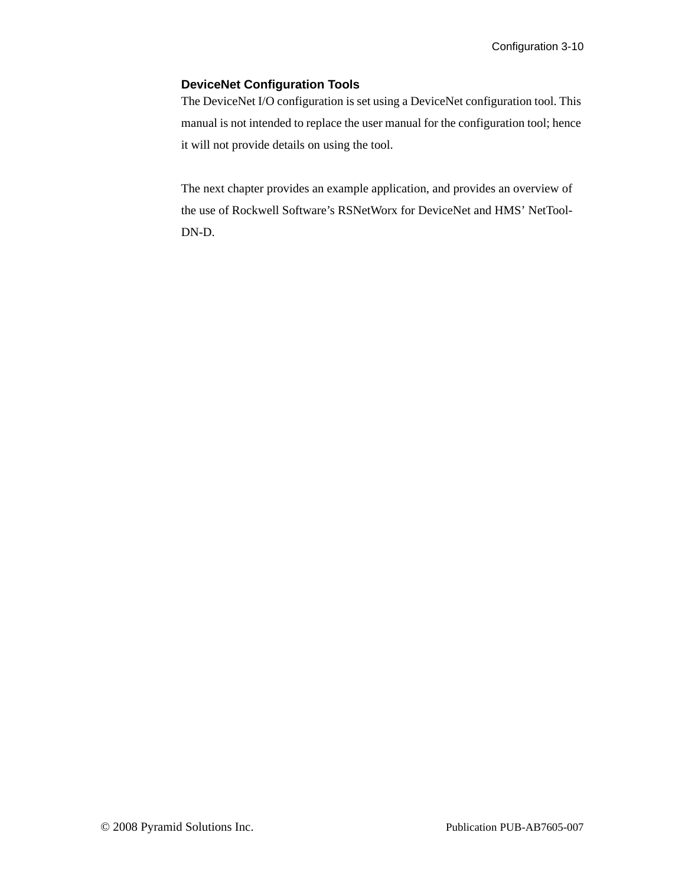### **DeviceNet Configuration Tools**

The DeviceNet I/O configuration is set using a DeviceNet configuration tool. This manual is not intended to replace the user manual for the configuration tool; hence it will not provide details on using the tool.

The next chapter provides an example application, and provides an overview of the use of Rockwell Software's RSNetWorx for DeviceNet and HMS' NetTool-DN-D.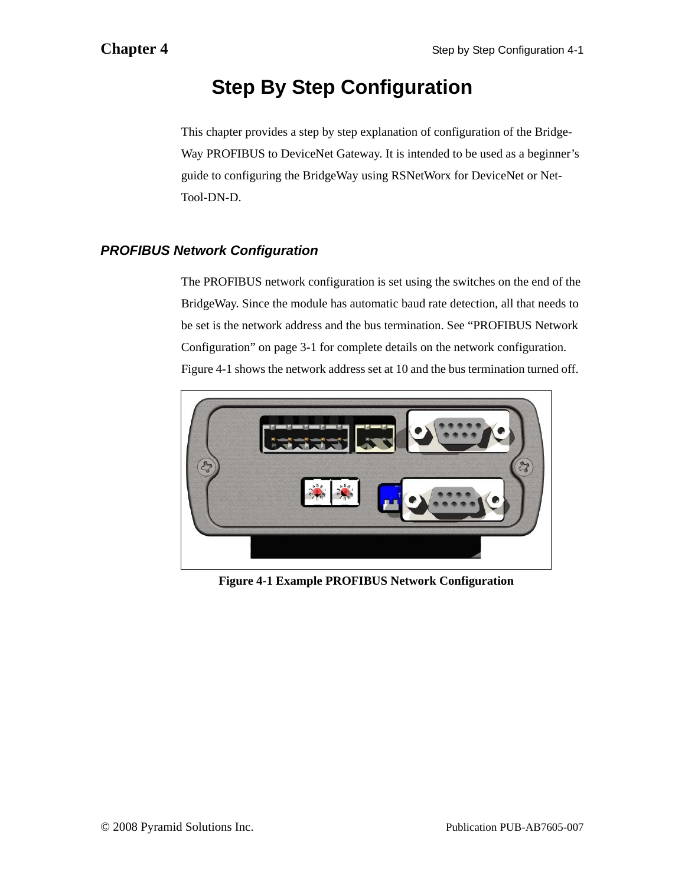## **Step By Step Configuration**

<span id="page-25-0"></span>This chapter provides a step by step explanation of configuration of the Bridge-Way PROFIBUS to DeviceNet Gateway. It is intended to be used as a beginner's guide to configuring the BridgeWay using RSNetWorx for DeviceNet or Net-Tool-DN-D.

### <span id="page-25-1"></span>*PROFIBUS Network Configuration*

The PROFIBUS network configuration is set using the switches on the end of the BridgeWay. Since the module has automatic baud rate detection, all that needs to be set is the network address and the bus termination. See ["PROFIBUS Network](#page-15-2)  [Configuration" on page 3-1](#page-15-2) for complete details on the network configuration. [Figure 4-1](#page-25-2) shows the network address set at 10 and the bus termination turned off.

<span id="page-25-2"></span>

**Figure 4-1 Example PROFIBUS Network Configuration**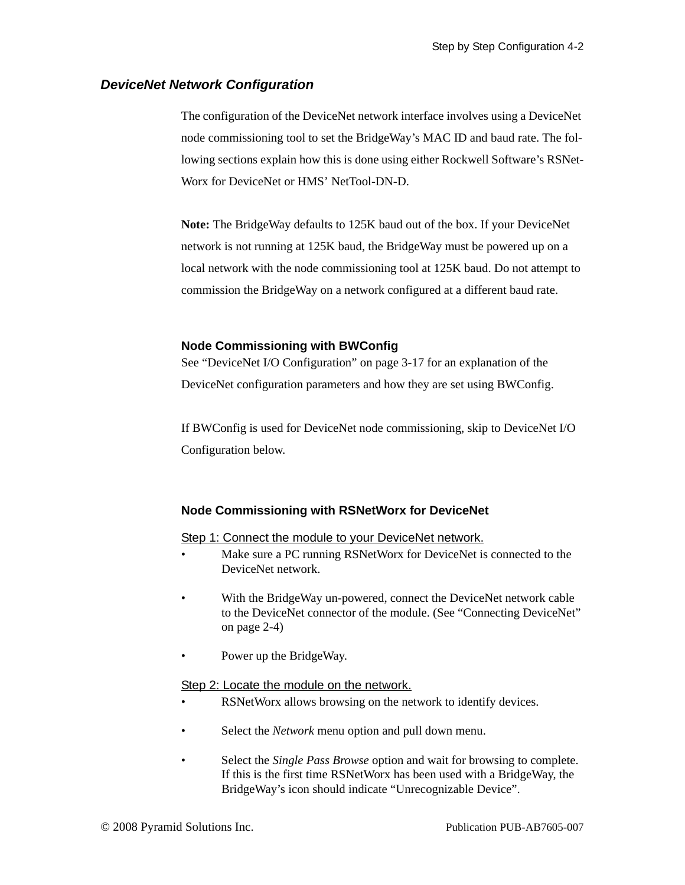### <span id="page-26-1"></span><span id="page-26-0"></span>*DeviceNet Network Configuration*

The configuration of the DeviceNet network interface involves using a DeviceNet node commissioning tool to set the BridgeWay's MAC ID and baud rate. The following sections explain how this is done using either Rockwell Software's RSNet-Worx for DeviceNet or HMS' NetTool-DN-D.

**Note:** The BridgeWay defaults to 125K baud out of the box. If your DeviceNet network is not running at 125K baud, the BridgeWay must be powered up on a local network with the node commissioning tool at 125K baud. Do not attempt to commission the BridgeWay on a network configured at a different baud rate.

### **Node Commissioning with BWConfig**

See "DeviceNet I/O Configuration" on page 3-17 for an explanation of the DeviceNet configuration parameters and how they are set using BWConfig.

If BWConfig is used for DeviceNet node commissioning, skip to DeviceNet I/O Configuration below.

### **Node Commissioning with RSNetWorx for DeviceNet**

### Step 1: Connect the module to your DeviceNet network.

- Make sure a PC running RSNetWorx for DeviceNet is connected to the DeviceNet network.
- With the BridgeWay un-powered, connect the DeviceNet network cable to the DeviceNet connector of the module. (See ["Connecting DeviceNet"](#page-13-2)  [on page 2-4\)](#page-13-2)
- Power up the BridgeWay.

### Step 2: Locate the module on the network.

- RSNetWorx allows browsing on the network to identify devices.
- Select the *Network* menu option and pull down menu.
- Select the *Single Pass Browse* option and wait for browsing to complete. If this is the first time RSNetWorx has been used with a BridgeWay, the BridgeWay's icon should indicate "Unrecognizable Device".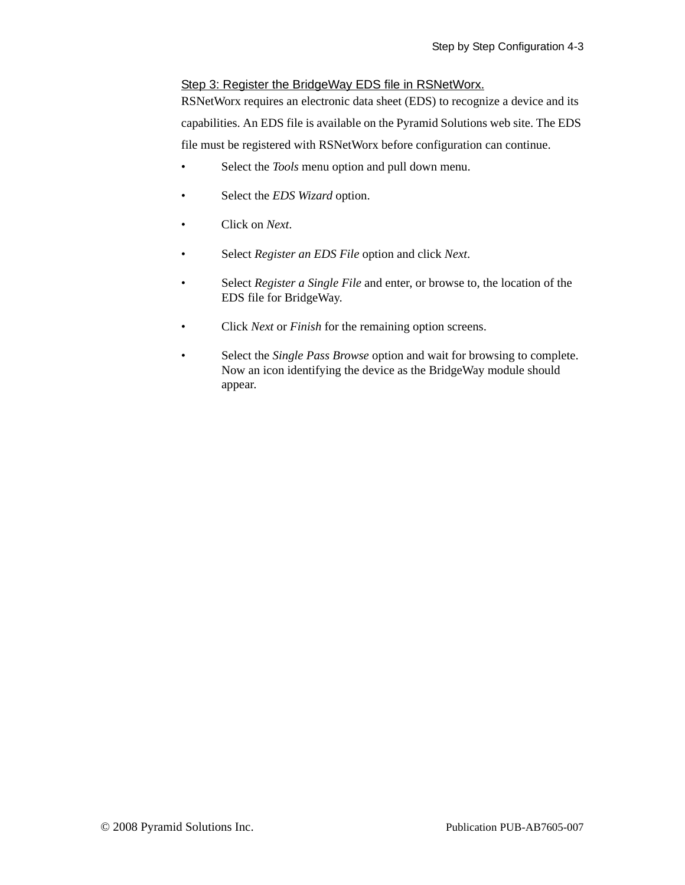### Step 3: Register the BridgeWay EDS file in RSNetWorx.

RSNetWorx requires an electronic data sheet (EDS) to recognize a device and its capabilities. An EDS file is available on the Pyramid Solutions web site. The EDS file must be registered with RSNetWorx before configuration can continue.

- Select the *Tools* menu option and pull down menu.
- Select the *EDS Wizard* option.
- Click on *Next*.
- Select *Register an EDS File* option and click *Next*.
- Select *Register a Single File* and enter, or browse to, the location of the EDS file for BridgeWay.
- Click *Next* or *Finish* for the remaining option screens.
- Select the *Single Pass Browse* option and wait for browsing to complete. Now an icon identifying the device as the BridgeWay module should appear.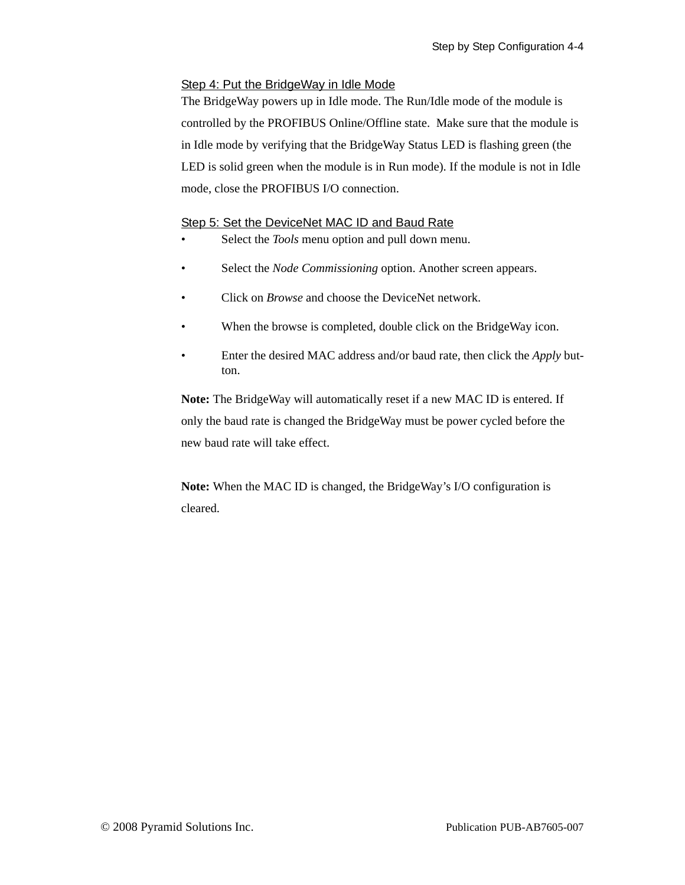### Step 4: Put the BridgeWay in Idle Mode

The BridgeWay powers up in Idle mode. The Run/Idle mode of the module is controlled by the PROFIBUS Online/Offline state. Make sure that the module is in Idle mode by verifying that the BridgeWay Status LED is flashing green (the LED is solid green when the module is in Run mode). If the module is not in Idle mode, close the PROFIBUS I/O connection.

### Step 5: Set the DeviceNet MAC ID and Baud Rate

- Select the *Tools* menu option and pull down menu.
- Select the *Node Commissioning* option. Another screen appears.
- Click on *Browse* and choose the DeviceNet network.
- When the browse is completed, double click on the BridgeWay icon.
- Enter the desired MAC address and/or baud rate, then click the *Apply* button.

**Note:** The BridgeWay will automatically reset if a new MAC ID is entered. If only the baud rate is changed the BridgeWay must be power cycled before the new baud rate will take effect.

**Note:** When the MAC ID is changed, the BridgeWay's I/O configuration is cleared.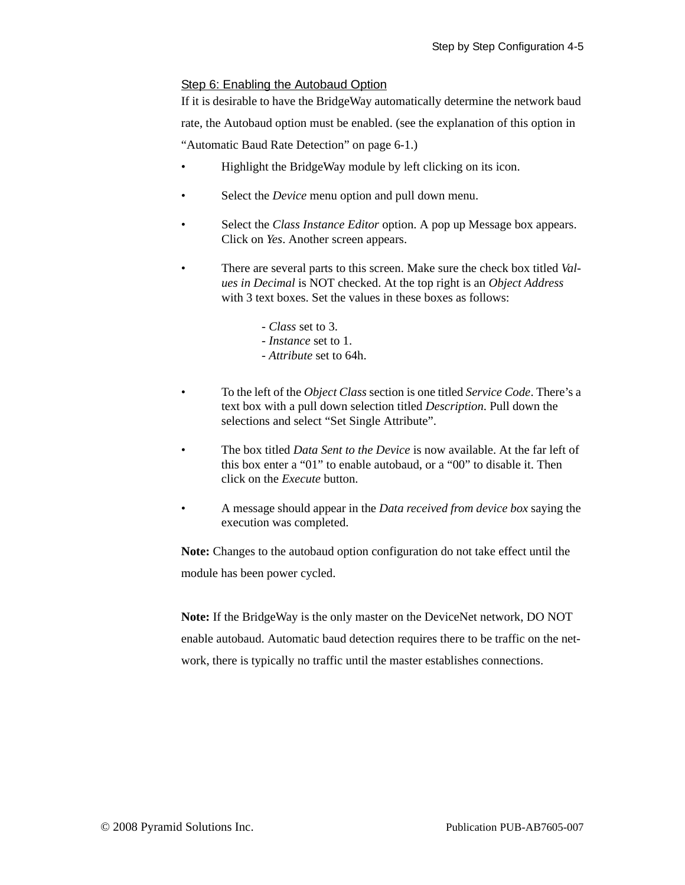### Step 6: Enabling the Autobaud Option

If it is desirable to have the BridgeWay automatically determine the network baud rate, the Autobaud option must be enabled. (see the explanation of this option in ["Automatic Baud Rate Detection" on page 6-1](#page-41-4).)

- Highlight the BridgeWay module by left clicking on its icon.
- Select the *Device* menu option and pull down menu.
- Select the *Class Instance Editor* option. A pop up Message box appears. Click on *Yes*. Another screen appears.
- There are several parts to this screen. Make sure the check box titled *Values in Decimal* is NOT checked. At the top right is an *Object Address* with 3 text boxes. Set the values in these boxes as follows:
	- *Class* set to 3.
	- *Instance* set to 1.
	- *Attribute* set to 64h.
- To the left of the *Object Class* section is one titled *Service Code*. There's a text box with a pull down selection titled *Description*. Pull down the selections and select "Set Single Attribute".
- The box titled *Data Sent to the Device* is now available. At the far left of this box enter a "01" to enable autobaud, or a "00" to disable it. Then click on the *Execute* button.
- A message should appear in the *Data received from device box* saying the execution was completed.

**Note:** Changes to the autobaud option configuration do not take effect until the module has been power cycled.

**Note:** If the BridgeWay is the only master on the DeviceNet network, DO NOT enable autobaud. Automatic baud detection requires there to be traffic on the network, there is typically no traffic until the master establishes connections.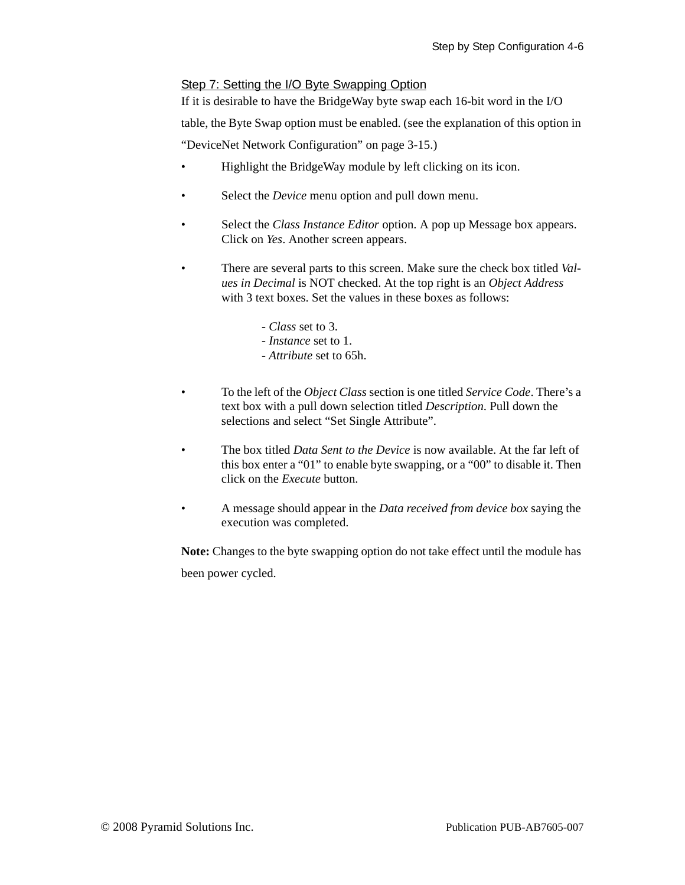### Step 7: Setting the I/O Byte Swapping Option

If it is desirable to have the BridgeWay byte swap each 16-bit word in the I/O table, the Byte Swap option must be enabled. (see the explanation of this option in ["DeviceNet Network Configuration" on page 3-15](#page-17-1).)

- Highlight the BridgeWay module by left clicking on its icon.
- Select the *Device* menu option and pull down menu.
- Select the *Class Instance Editor* option. A pop up Message box appears. Click on *Yes*. Another screen appears.
- There are several parts to this screen. Make sure the check box titled *Values in Decimal* is NOT checked. At the top right is an *Object Address* with 3 text boxes. Set the values in these boxes as follows:
	- *Class* set to 3.
	- *Instance* set to 1.
	- *Attribute* set to 65h.
- To the left of the *Object Class* section is one titled *Service Code*. There's a text box with a pull down selection titled *Description*. Pull down the selections and select "Set Single Attribute".
- The box titled *Data Sent to the Device* is now available. At the far left of this box enter a "01" to enable byte swapping, or a "00" to disable it. Then click on the *Execute* button.
- A message should appear in the *Data received from device box* saying the execution was completed.

**Note:** Changes to the byte swapping option do not take effect until the module has been power cycled.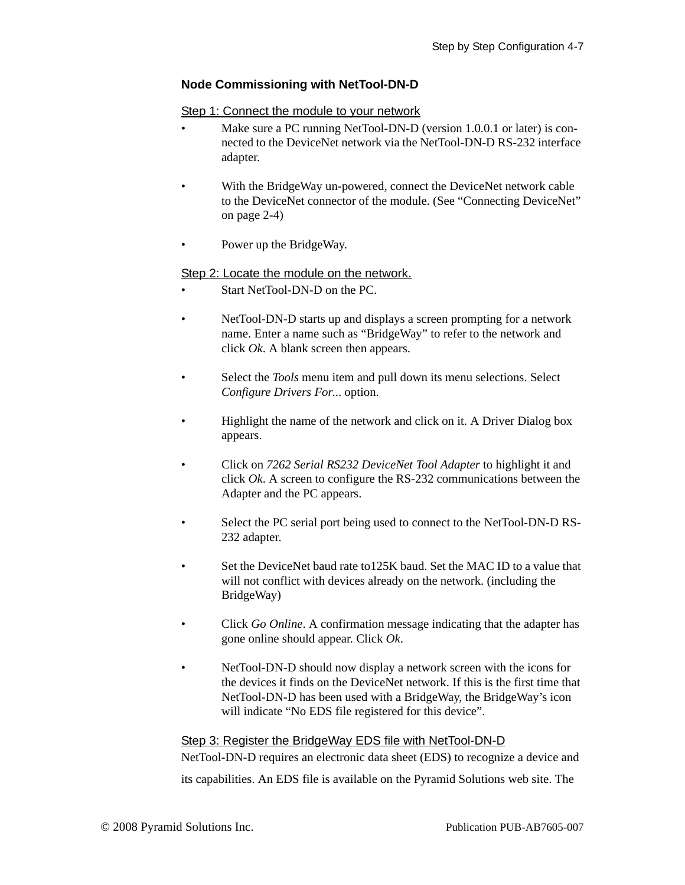### **Node Commissioning with NetTool-DN-D**

### Step 1: Connect the module to your network

- Make sure a PC running NetTool-DN-D (version 1.0.0.1 or later) is connected to the DeviceNet network via the NetTool-DN-D RS-232 interface adapter.
- With the BridgeWay un-powered, connect the DeviceNet network cable to the DeviceNet connector of the module. (See ["Connecting DeviceNet"](#page-13-2)  [on page 2-4\)](#page-13-2)
- Power up the BridgeWay.

### Step 2: Locate the module on the network.

- Start NetTool-DN-D on the PC.
- NetTool-DN-D starts up and displays a screen prompting for a network name. Enter a name such as "BridgeWay" to refer to the network and click *Ok*. A blank screen then appears.
- Select the *Tools* menu item and pull down its menu selections. Select *Configure Drivers For*... option.
- Highlight the name of the network and click on it. A Driver Dialog box appears.
- Click on *7262 Serial RS232 DeviceNet Tool Adapter* to highlight it and click *Ok*. A screen to configure the RS-232 communications between the Adapter and the PC appears.
- Select the PC serial port being used to connect to the NetTool-DN-D RS-232 adapter.
- Set the DeviceNet baud rate to 125K baud. Set the MAC ID to a value that will not conflict with devices already on the network. (including the BridgeWay)
- Click *Go Online*. A confirmation message indicating that the adapter has gone online should appear. Click *Ok*.
- NetTool-DN-D should now display a network screen with the icons for the devices it finds on the DeviceNet network. If this is the first time that NetTool-DN-D has been used with a BridgeWay, the BridgeWay's icon will indicate "No EDS file registered for this device".

### Step 3: Register the BridgeWay EDS file with NetTool-DN-D

NetTool-DN-D requires an electronic data sheet (EDS) to recognize a device and its capabilities. An EDS file is available on the Pyramid Solutions web site. The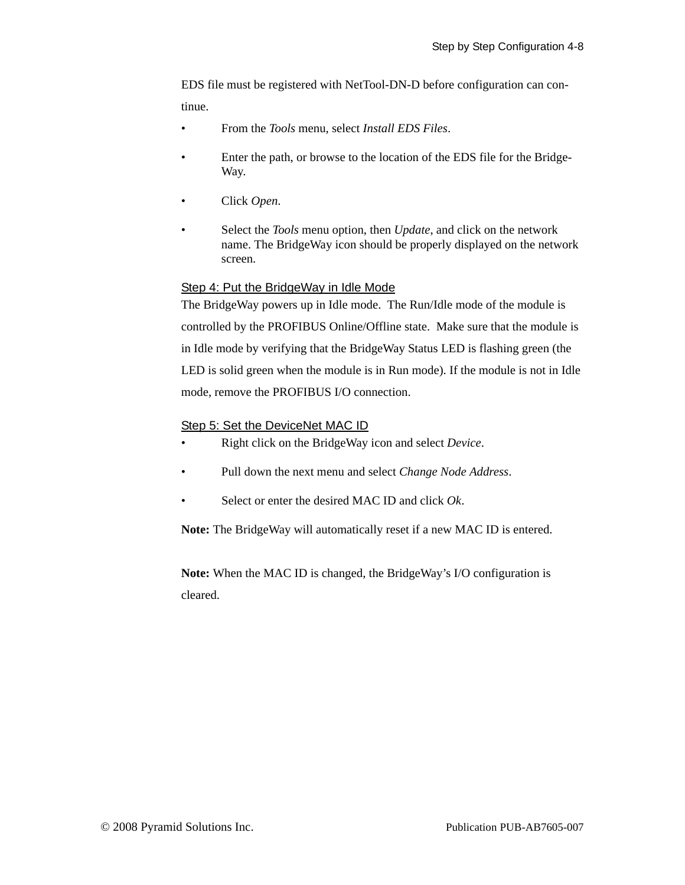EDS file must be registered with NetTool-DN-D before configuration can continue.

- From the *Tools* menu, select *Install EDS Files*.
- Enter the path, or browse to the location of the EDS file for the Bridge-Way.
- Click *Open*.
- Select the *Tools* menu option, then *Update*, and click on the network name. The BridgeWay icon should be properly displayed on the network screen.

### Step 4: Put the BridgeWay in Idle Mode

The BridgeWay powers up in Idle mode. The Run/Idle mode of the module is controlled by the PROFIBUS Online/Offline state. Make sure that the module is in Idle mode by verifying that the BridgeWay Status LED is flashing green (the LED is solid green when the module is in Run mode). If the module is not in Idle mode, remove the PROFIBUS I/O connection.

### Step 5: Set the DeviceNet MAC ID

- Right click on the BridgeWay icon and select *Device*.
- Pull down the next menu and select *Change Node Address*.
- Select or enter the desired MAC ID and click *Ok*.

**Note:** The BridgeWay will automatically reset if a new MAC ID is entered.

**Note:** When the MAC ID is changed, the BridgeWay's I/O configuration is cleared.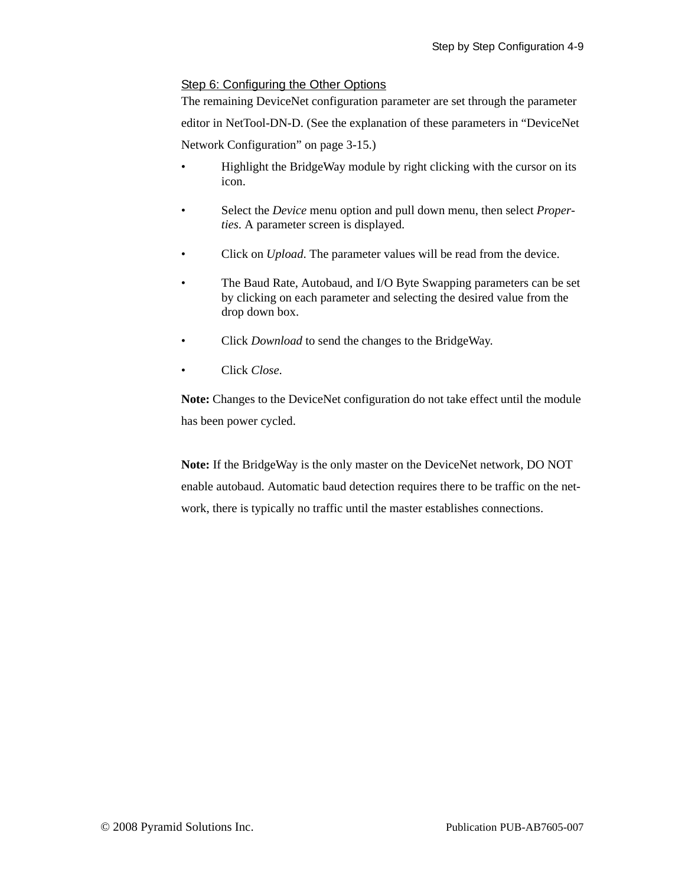### Step 6: Configuring the Other Options

The remaining DeviceNet configuration parameter are set through the parameter editor in NetTool-DN-D. (See the explanation of these parameters in ["DeviceNet](#page-17-1)  [Network Configuration" on page 3-15.](#page-17-1))

- Highlight the BridgeWay module by right clicking with the cursor on its icon.
- Select the *Device* menu option and pull down menu, then select *Properties*. A parameter screen is displayed.
- Click on *Upload*. The parameter values will be read from the device.
- The Baud Rate, Autobaud, and I/O Byte Swapping parameters can be set by clicking on each parameter and selecting the desired value from the drop down box.
- Click *Download* to send the changes to the BridgeWay.
- Click *Close*.

**Note:** Changes to the DeviceNet configuration do not take effect until the module has been power cycled.

**Note:** If the BridgeWay is the only master on the DeviceNet network, DO NOT enable autobaud. Automatic baud detection requires there to be traffic on the network, there is typically no traffic until the master establishes connections.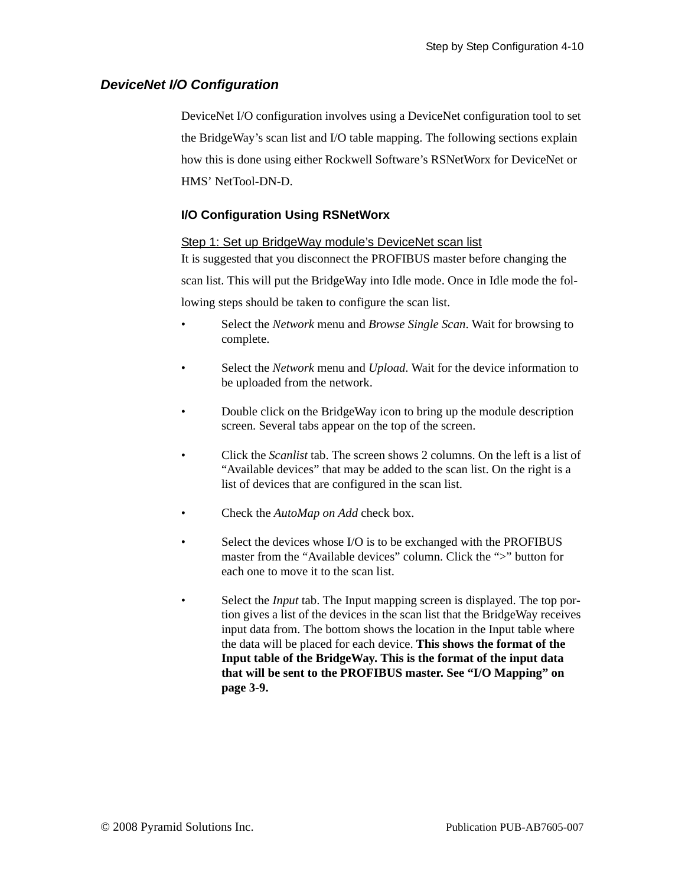### <span id="page-34-0"></span>*DeviceNet I/O Configuration*

DeviceNet I/O configuration involves using a DeviceNet configuration tool to set the BridgeWay's scan list and I/O table mapping. The following sections explain how this is done using either Rockwell Software's RSNetWorx for DeviceNet or HMS' NetTool-DN-D.

### **I/O Configuration Using RSNetWorx**

### Step 1: Set up BridgeWay module's DeviceNet scan list

It is suggested that you disconnect the PROFIBUS master before changing the scan list. This will put the BridgeWay into Idle mode. Once in Idle mode the following steps should be taken to configure the scan list.

- Select the *Network* menu and *Browse Single Scan*. Wait for browsing to complete.
- Select the *Network* menu and *Upload*. Wait for the device information to be uploaded from the network.
- Double click on the BridgeWay icon to bring up the module description screen. Several tabs appear on the top of the screen.
- Click the *Scanlist* tab. The screen shows 2 columns. On the left is a list of "Available devices" that may be added to the scan list. On the right is a list of devices that are configured in the scan list.
- Check the *AutoMap on Add* check box.
- Select the devices whose I/O is to be exchanged with the PROFIBUS master from the "Available devices" column. Click the ">" button for each one to move it to the scan list.
- Select the *Input* tab. The Input mapping screen is displayed. The top portion gives a list of the devices in the scan list that the BridgeWay receives input data from. The bottom shows the location in the Input table where the data will be placed for each device. **This shows the format of the Input table of the BridgeWay. This is the format of the input data that will be sent to the PROFIBUS master. See ["I/O Mapping" on](#page-23-1)  [page 3-9](#page-23-1).**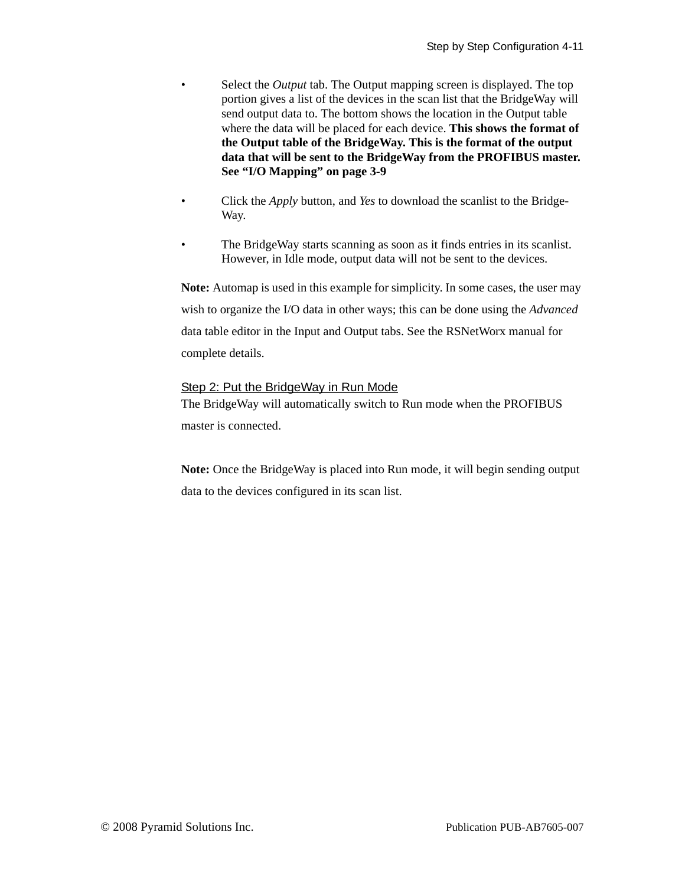- Select the *Output* tab. The Output mapping screen is displayed. The top portion gives a list of the devices in the scan list that the BridgeWay will send output data to. The bottom shows the location in the Output table where the data will be placed for each device. **This shows the format of the Output table of the BridgeWay. This is the format of the output data that will be sent to the BridgeWay from the PROFIBUS master. See ["I/O Mapping" on page 3-9](#page-23-1)**
- Click the *Apply* button, and *Yes* to download the scanlist to the Bridge-Way.
- The BridgeWay starts scanning as soon as it finds entries in its scanlist. However, in Idle mode, output data will not be sent to the devices.

**Note:** Automap is used in this example for simplicity. In some cases, the user may wish to organize the I/O data in other ways; this can be done using the *Advanced* data table editor in the Input and Output tabs. See the RSNetWorx manual for complete details.

### Step 2: Put the BridgeWay in Run Mode

The BridgeWay will automatically switch to Run mode when the PROFIBUS master is connected.

**Note:** Once the BridgeWay is placed into Run mode, it will begin sending output data to the devices configured in its scan list.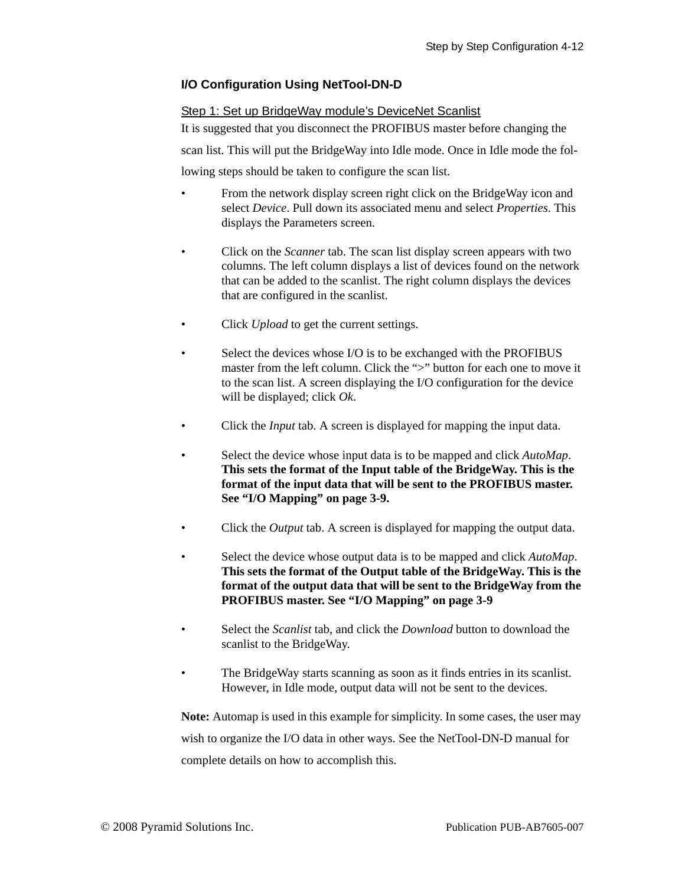### **I/O Configuration Using NetTool-DN-D**

### Step 1: Set up BridgeWay module's DeviceNet Scanlist

It is suggested that you disconnect the PROFIBUS master before changing the

scan list. This will put the BridgeWay into Idle mode. Once in Idle mode the fol-

lowing steps should be taken to configure the scan list.

- From the network display screen right click on the BridgeWay icon and select *Device*. Pull down its associated menu and select *Properties*. This displays the Parameters screen.
- Click on the *Scanner* tab. The scan list display screen appears with two columns. The left column displays a list of devices found on the network that can be added to the scanlist. The right column displays the devices that are configured in the scanlist.
- Click *Upload* to get the current settings.
- Select the devices whose I/O is to be exchanged with the PROFIBUS master from the left column. Click the ">" button for each one to move it to the scan list. A screen displaying the I/O configuration for the device will be displayed; click *Ok*.
- Click the *Input* tab. A screen is displayed for mapping the input data.
- Select the device whose input data is to be mapped and click *AutoMap*. **This sets the format of the Input table of the BridgeWay. This is the format of the input data that will be sent to the PROFIBUS master. See ["I/O Mapping" on page 3-9](#page-23-1).**
- Click the *Output* tab. A screen is displayed for mapping the output data.
- Select the device whose output data is to be mapped and click *AutoMap*. **This sets the format of the Output table of the BridgeWay. This is the format of the output data that will be sent to the BridgeWay from the PROFIBUS master. See ["I/O Mapping" on page 3-9](#page-23-1)**
- Select the *Scanlist* tab, and click the *Download* button to download the scanlist to the BridgeWay.
- The BridgeWay starts scanning as soon as it finds entries in its scanlist. However, in Idle mode, output data will not be sent to the devices.

**Note:** Automap is used in this example for simplicity. In some cases, the user may wish to organize the I/O data in other ways. See the NetTool-DN-D manual for complete details on how to accomplish this.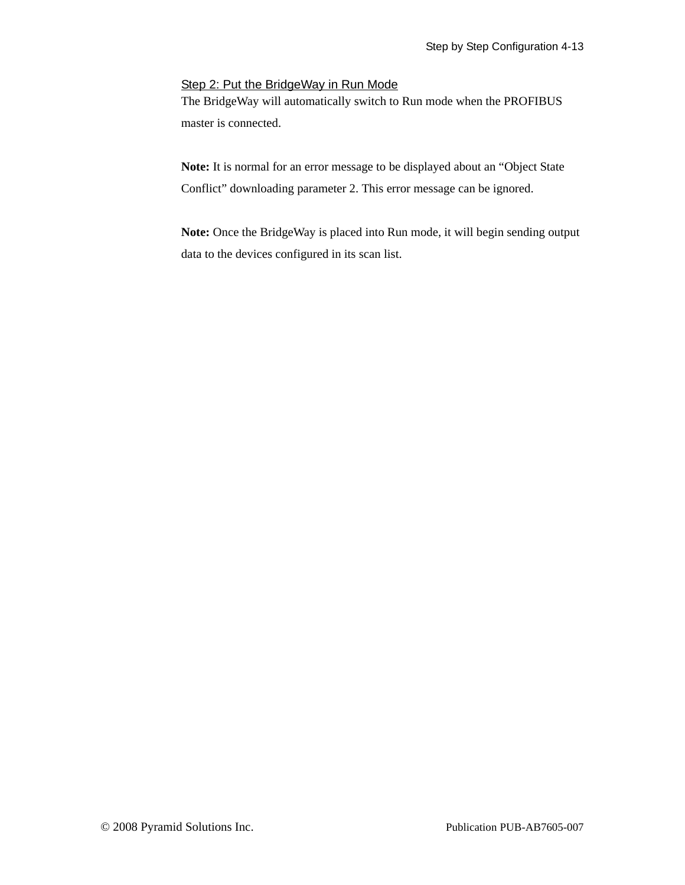### Step 2: Put the BridgeWay in Run Mode

The BridgeWay will automatically switch to Run mode when the PROFIBUS master is connected.

**Note:** It is normal for an error message to be displayed about an "Object State Conflict" downloading parameter 2. This error message can be ignored.

**Note:** Once the BridgeWay is placed into Run mode, it will begin sending output data to the devices configured in its scan list.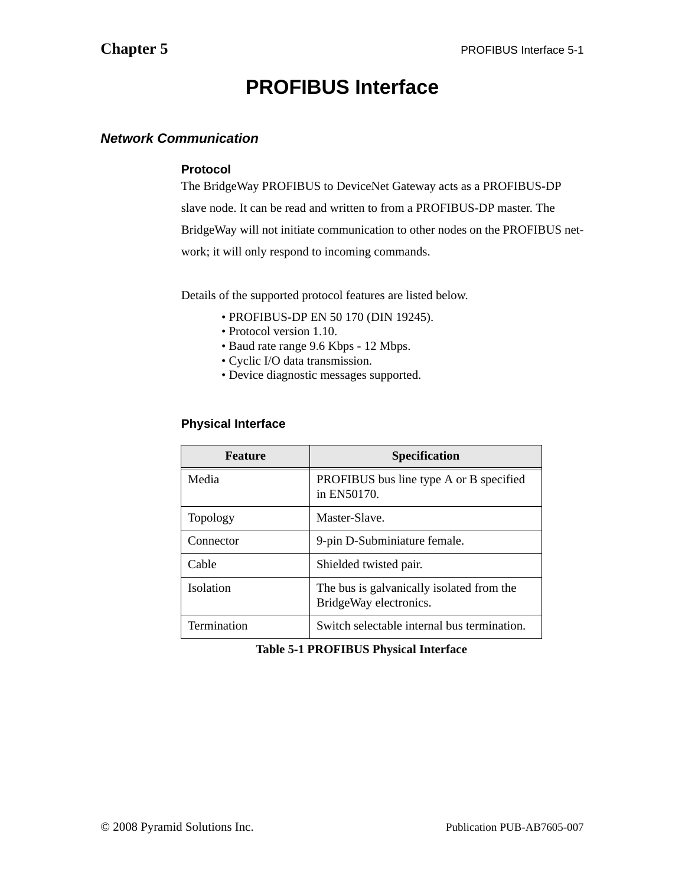## **PROFIBUS Interface**

### <span id="page-38-1"></span><span id="page-38-0"></span>*Network Communication*

### **Protocol**

The BridgeWay PROFIBUS to DeviceNet Gateway acts as a PROFIBUS-DP slave node. It can be read and written to from a PROFIBUS-DP master. The BridgeWay will not initiate communication to other nodes on the PROFIBUS network; it will only respond to incoming commands.

Details of the supported protocol features are listed below.

- PROFIBUS-DP EN 50 170 (DIN 19245).
- Protocol version 1.10.
- Baud rate range 9.6 Kbps 12 Mbps.
- Cyclic I/O data transmission.
- Device diagnostic messages supported.

### **Physical Interface**

| <b>Feature</b>     | <b>Specification</b>                                                |
|--------------------|---------------------------------------------------------------------|
| Media              | PROFIBUS bus line type A or B specified<br>in EN50170.              |
| <b>Topology</b>    | Master-Slave.                                                       |
| Connector          | 9-pin D-Subminiature female.                                        |
| Cable              | Shielded twisted pair.                                              |
| <b>Isolation</b>   | The bus is galvanically isolated from the<br>BridgeWay electronics. |
| <b>Termination</b> | Switch selectable internal bus termination.                         |

### **Table 5-1 PROFIBUS Physical Interface**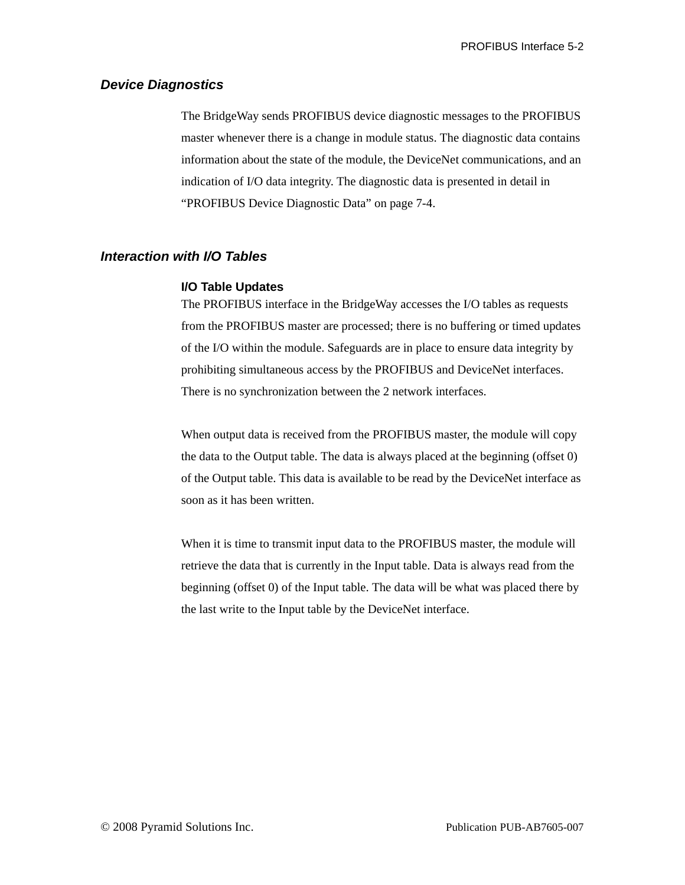### <span id="page-39-0"></span>*Device Diagnostics*

The BridgeWay sends PROFIBUS device diagnostic messages to the PROFIBUS master whenever there is a change in module status. The diagnostic data contains information about the state of the module, the DeviceNet communications, and an indication of I/O data integrity. The diagnostic data is presented in detail in ["PROFIBUS Device Diagnostic Data" on page 7-4.](#page-50-1)

### <span id="page-39-1"></span>*Interaction with I/O Tables*

#### **I/O Table Updates**

The PROFIBUS interface in the BridgeWay accesses the I/O tables as requests from the PROFIBUS master are processed; there is no buffering or timed updates of the I/O within the module. Safeguards are in place to ensure data integrity by prohibiting simultaneous access by the PROFIBUS and DeviceNet interfaces. There is no synchronization between the 2 network interfaces.

When output data is received from the PROFIBUS master, the module will copy the data to the Output table. The data is always placed at the beginning (offset 0) of the Output table. This data is available to be read by the DeviceNet interface as soon as it has been written.

When it is time to transmit input data to the PROFIBUS master, the module will retrieve the data that is currently in the Input table. Data is always read from the beginning (offset 0) of the Input table. The data will be what was placed there by the last write to the Input table by the DeviceNet interface.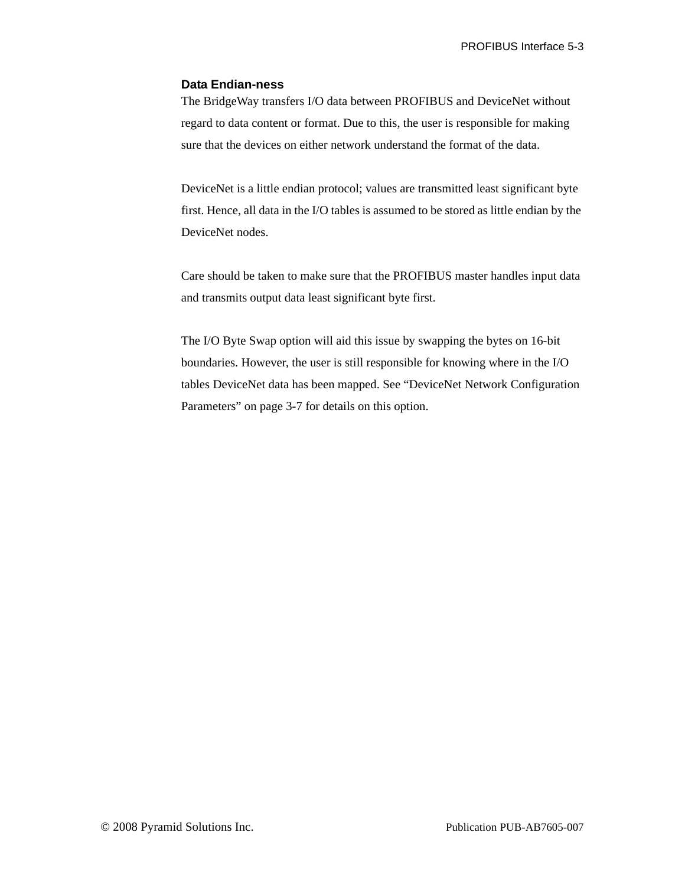### **Data Endian-ness**

The BridgeWay transfers I/O data between PROFIBUS and DeviceNet without regard to data content or format. Due to this, the user is responsible for making sure that the devices on either network understand the format of the data.

DeviceNet is a little endian protocol; values are transmitted least significant byte first. Hence, all data in the I/O tables is assumed to be stored as little endian by the DeviceNet nodes.

Care should be taken to make sure that the PROFIBUS master handles input data and transmits output data least significant byte first.

The I/O Byte Swap option will aid this issue by swapping the bytes on 16-bit boundaries. However, the user is still responsible for knowing where in the I/O tables DeviceNet data has been mapped. See ["DeviceNet Network Configuration](#page-21-3)  [Parameters" on page 3-7](#page-21-3) for details on this option.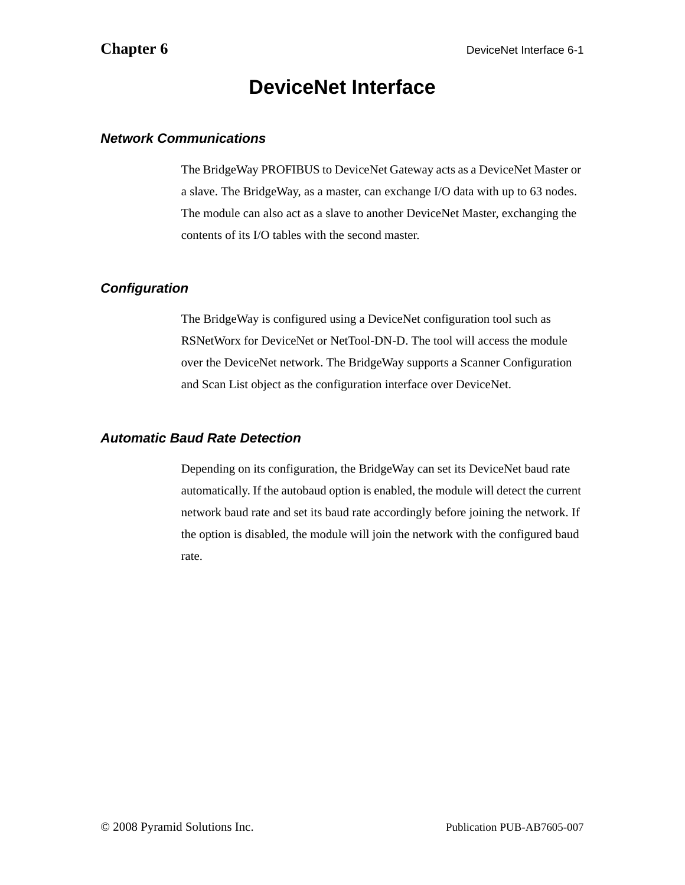### **DeviceNet Interface**

### <span id="page-41-1"></span><span id="page-41-0"></span>*Network Communications*

The BridgeWay PROFIBUS to DeviceNet Gateway acts as a DeviceNet Master or a slave. The BridgeWay, as a master, can exchange I/O data with up to 63 nodes. The module can also act as a slave to another DeviceNet Master, exchanging the contents of its I/O tables with the second master.

### <span id="page-41-2"></span>*Configuration*

The BridgeWay is configured using a DeviceNet configuration tool such as RSNetWorx for DeviceNet or NetTool-DN-D. The tool will access the module over the DeviceNet network. The BridgeWay supports a Scanner Configuration and Scan List object as the configuration interface over DeviceNet.

### <span id="page-41-4"></span><span id="page-41-3"></span>*Automatic Baud Rate Detection*

Depending on its configuration, the BridgeWay can set its DeviceNet baud rate automatically. If the autobaud option is enabled, the module will detect the current network baud rate and set its baud rate accordingly before joining the network. If the option is disabled, the module will join the network with the configured baud rate.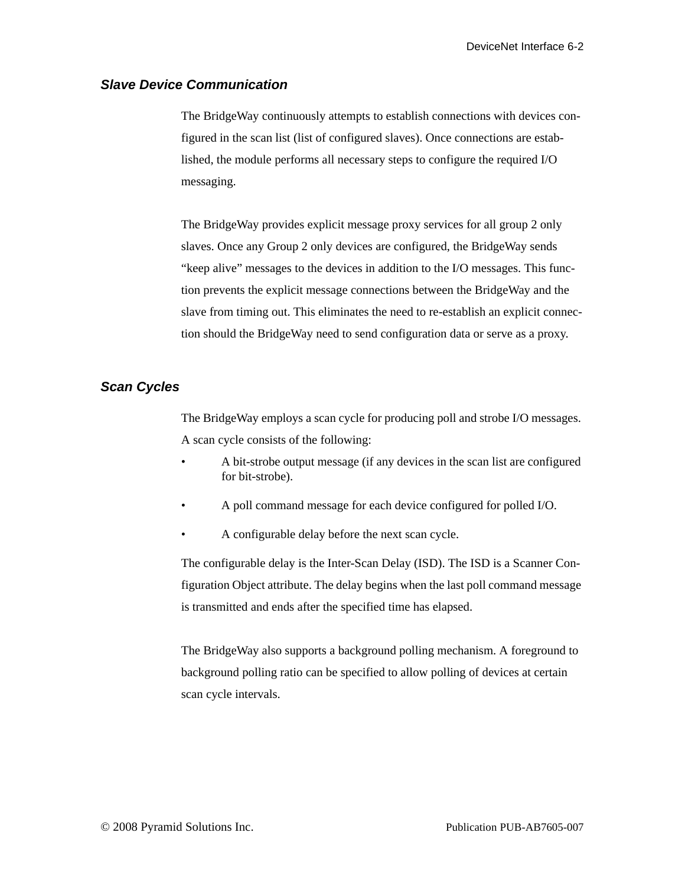### <span id="page-42-0"></span>*Slave Device Communication*

The BridgeWay continuously attempts to establish connections with devices configured in the scan list (list of configured slaves). Once connections are established, the module performs all necessary steps to configure the required I/O messaging.

The BridgeWay provides explicit message proxy services for all group 2 only slaves. Once any Group 2 only devices are configured, the BridgeWay sends "keep alive" messages to the devices in addition to the I/O messages. This function prevents the explicit message connections between the BridgeWay and the slave from timing out. This eliminates the need to re-establish an explicit connection should the BridgeWay need to send configuration data or serve as a proxy.

### <span id="page-42-1"></span>*Scan Cycles*

The BridgeWay employs a scan cycle for producing poll and strobe I/O messages. A scan cycle consists of the following:

- A bit-strobe output message (if any devices in the scan list are configured for bit-strobe).
- A poll command message for each device configured for polled I/O.
- A configurable delay before the next scan cycle.

The configurable delay is the Inter-Scan Delay (ISD). The ISD is a Scanner Configuration Object attribute. The delay begins when the last poll command message is transmitted and ends after the specified time has elapsed.

The BridgeWay also supports a background polling mechanism. A foreground to background polling ratio can be specified to allow polling of devices at certain scan cycle intervals.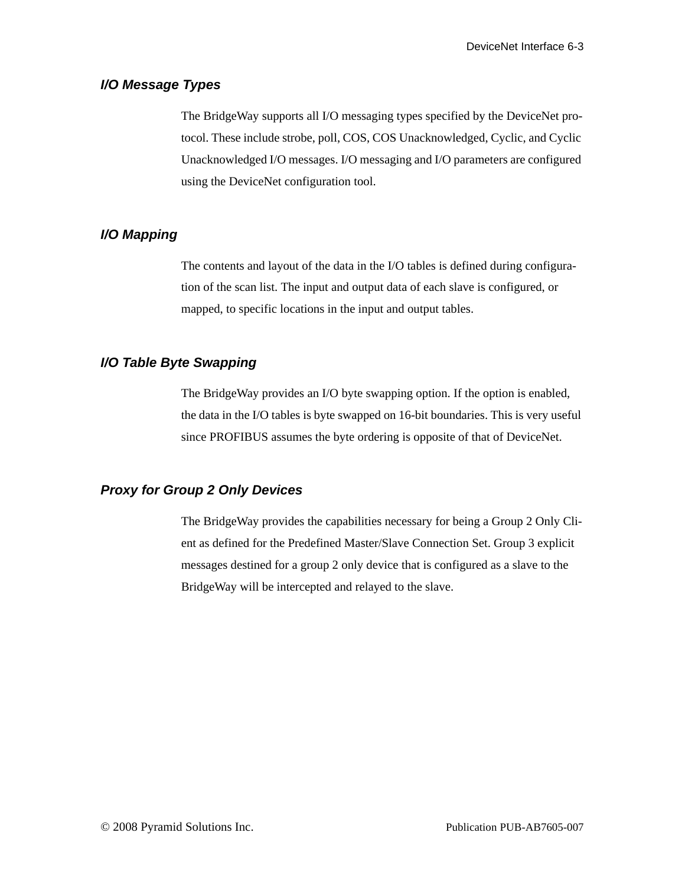### <span id="page-43-0"></span>*I/O Message Types*

The BridgeWay supports all I/O messaging types specified by the DeviceNet protocol. These include strobe, poll, COS, COS Unacknowledged, Cyclic, and Cyclic Unacknowledged I/O messages. I/O messaging and I/O parameters are configured using the DeviceNet configuration tool.

### <span id="page-43-1"></span>*I/O Mapping*

The contents and layout of the data in the I/O tables is defined during configuration of the scan list. The input and output data of each slave is configured, or mapped, to specific locations in the input and output tables.

### <span id="page-43-2"></span>*I/O Table Byte Swapping*

The BridgeWay provides an I/O byte swapping option. If the option is enabled, the data in the I/O tables is byte swapped on 16-bit boundaries. This is very useful since PROFIBUS assumes the byte ordering is opposite of that of DeviceNet.

### <span id="page-43-3"></span>*Proxy for Group 2 Only Devices*

The BridgeWay provides the capabilities necessary for being a Group 2 Only Client as defined for the Predefined Master/Slave Connection Set. Group 3 explicit messages destined for a group 2 only device that is configured as a slave to the BridgeWay will be intercepted and relayed to the slave.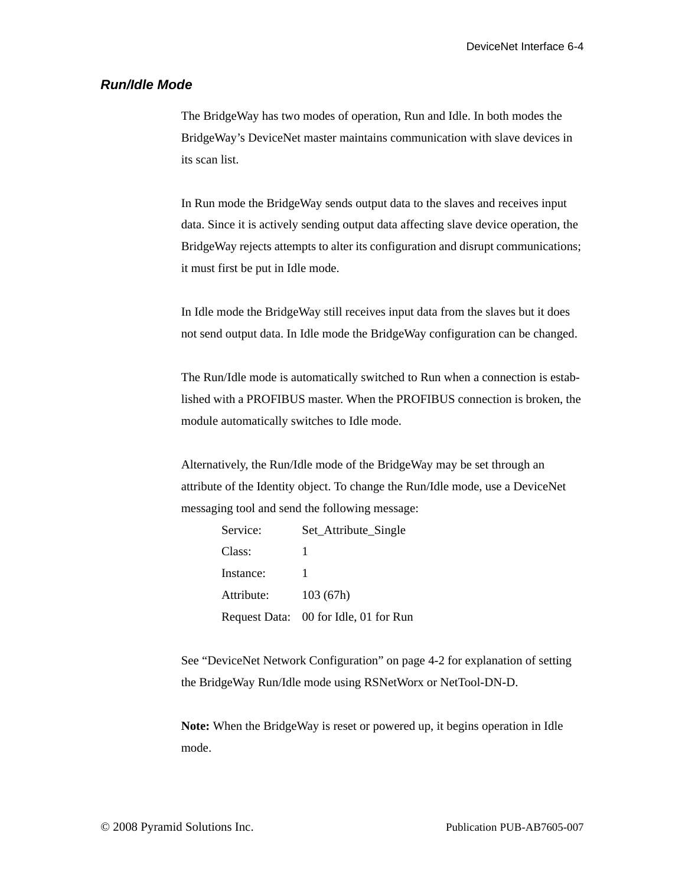### <span id="page-44-0"></span>*Run/Idle Mode*

The BridgeWay has two modes of operation, Run and Idle. In both modes the BridgeWay's DeviceNet master maintains communication with slave devices in its scan list.

In Run mode the BridgeWay sends output data to the slaves and receives input data. Since it is actively sending output data affecting slave device operation, the BridgeWay rejects attempts to alter its configuration and disrupt communications; it must first be put in Idle mode.

In Idle mode the BridgeWay still receives input data from the slaves but it does not send output data. In Idle mode the BridgeWay configuration can be changed.

The Run/Idle mode is automatically switched to Run when a connection is established with a PROFIBUS master. When the PROFIBUS connection is broken, the module automatically switches to Idle mode.

Alternatively, the Run/Idle mode of the BridgeWay may be set through an attribute of the Identity object. To change the Run/Idle mode, use a DeviceNet messaging tool and send the following message:

> Service: Set\_Attribute\_Single Class: 1 Instance: 1 Attribute: 103 (67h) Request Data: 00 for Idle, 01 for Run

See ["DeviceNet Network Configuration" on page 4-2](#page-26-1) for explanation of setting the BridgeWay Run/Idle mode using RSNetWorx or NetTool-DN-D.

**Note:** When the BridgeWay is reset or powered up, it begins operation in Idle mode.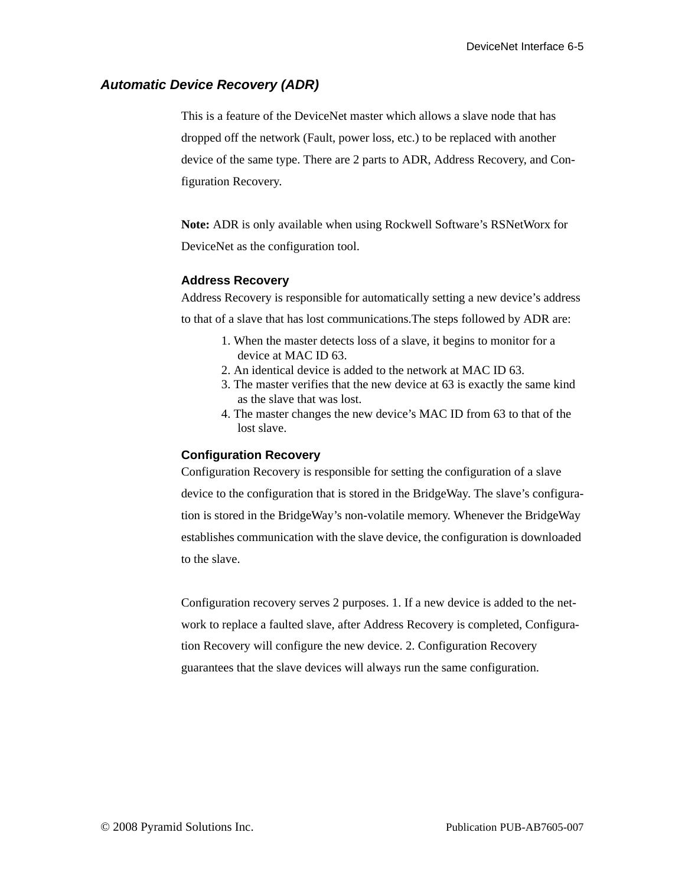### <span id="page-45-0"></span>*Automatic Device Recovery (ADR)*

This is a feature of the DeviceNet master which allows a slave node that has dropped off the network (Fault, power loss, etc.) to be replaced with another device of the same type. There are 2 parts to ADR, Address Recovery, and Configuration Recovery.

**Note:** ADR is only available when using Rockwell Software's RSNetWorx for DeviceNet as the configuration tool.

### **Address Recovery**

Address Recovery is responsible for automatically setting a new device's address to that of a slave that has lost communications.The steps followed by ADR are:

- 1. When the master detects loss of a slave, it begins to monitor for a device at MAC ID 63.
- 2. An identical device is added to the network at MAC ID 63.
- 3. The master verifies that the new device at 63 is exactly the same kind as the slave that was lost.
- 4. The master changes the new device's MAC ID from 63 to that of the lost slave.

### **Configuration Recovery**

Configuration Recovery is responsible for setting the configuration of a slave device to the configuration that is stored in the BridgeWay. The slave's configuration is stored in the BridgeWay's non-volatile memory. Whenever the BridgeWay establishes communication with the slave device, the configuration is downloaded to the slave.

Configuration recovery serves 2 purposes. 1. If a new device is added to the network to replace a faulted slave, after Address Recovery is completed, Configuration Recovery will configure the new device. 2. Configuration Recovery guarantees that the slave devices will always run the same configuration.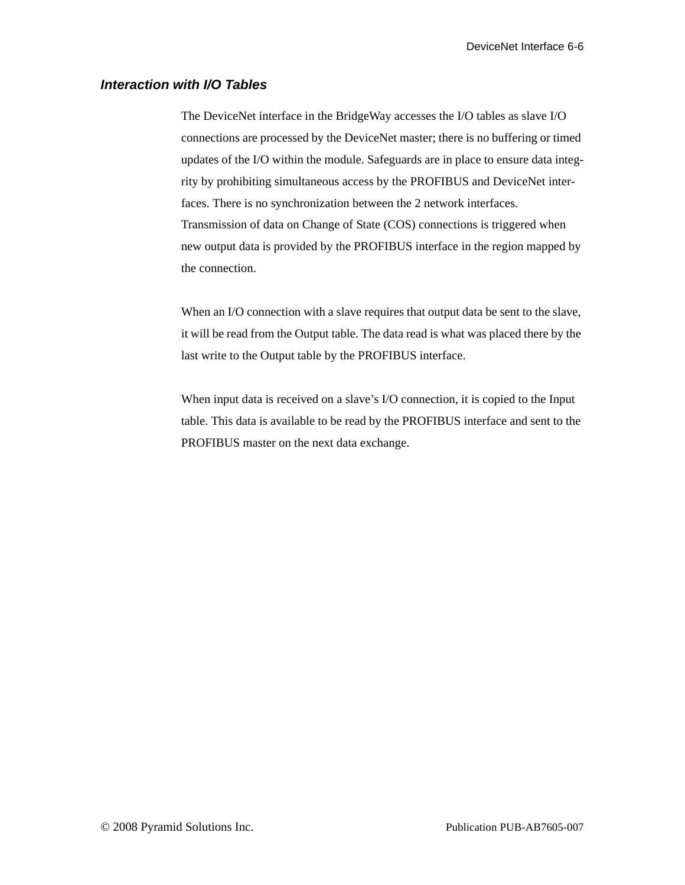### <span id="page-46-0"></span>*Interaction with I/O Tables*

The DeviceNet interface in the BridgeWay accesses the I/O tables as slave I/O connections are processed by the DeviceNet master; there is no buffering or timed updates of the I/O within the module. Safeguards are in place to ensure data integrity by prohibiting simultaneous access by the PROFIBUS and DeviceNet interfaces. There is no synchronization between the 2 network interfaces. Transmission of data on Change of State (COS) connections is triggered when new output data is provided by the PROFIBUS interface in the region mapped by the connection.

When an I/O connection with a slave requires that output data be sent to the slave, it will be read from the Output table. The data read is what was placed there by the last write to the Output table by the PROFIBUS interface.

When input data is received on a slave's I/O connection, it is copied to the Input table. This data is available to be read by the PROFIBUS interface and sent to the PROFIBUS master on the next data exchange.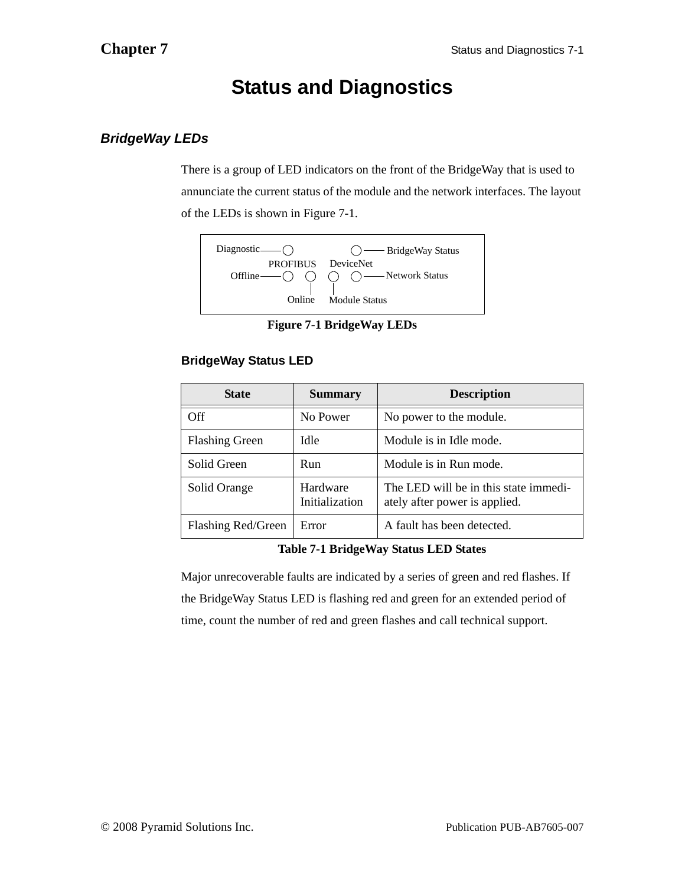## <span id="page-47-2"></span>**Status and Diagnostics**

### <span id="page-47-1"></span><span id="page-47-0"></span>*BridgeWay LEDs*

There is a group of LED indicators on the front of the BridgeWay that is used to annunciate the current status of the module and the network interfaces. The layout of the LEDs is shown in [Figure 7-1](#page-47-3).



**Figure 7-1 BridgeWay LEDs**

### <span id="page-47-3"></span>**BridgeWay Status LED**

| <b>State</b>          | <b>Summary</b>             | <b>Description</b>                                                     |
|-----------------------|----------------------------|------------------------------------------------------------------------|
| Off                   | No Power                   | No power to the module.                                                |
| <b>Flashing Green</b> | Idle                       | Module is in Idle mode.                                                |
| Solid Green           | Run                        | Module is in Run mode.                                                 |
| Solid Orange          | Hardware<br>Initialization | The LED will be in this state immedi-<br>ately after power is applied. |
| Flashing Red/Green    | Error                      | A fault has been detected.                                             |

### **Table 7-1 BridgeWay Status LED States**

Major unrecoverable faults are indicated by a series of green and red flashes. If the BridgeWay Status LED is flashing red and green for an extended period of time, count the number of red and green flashes and call technical support.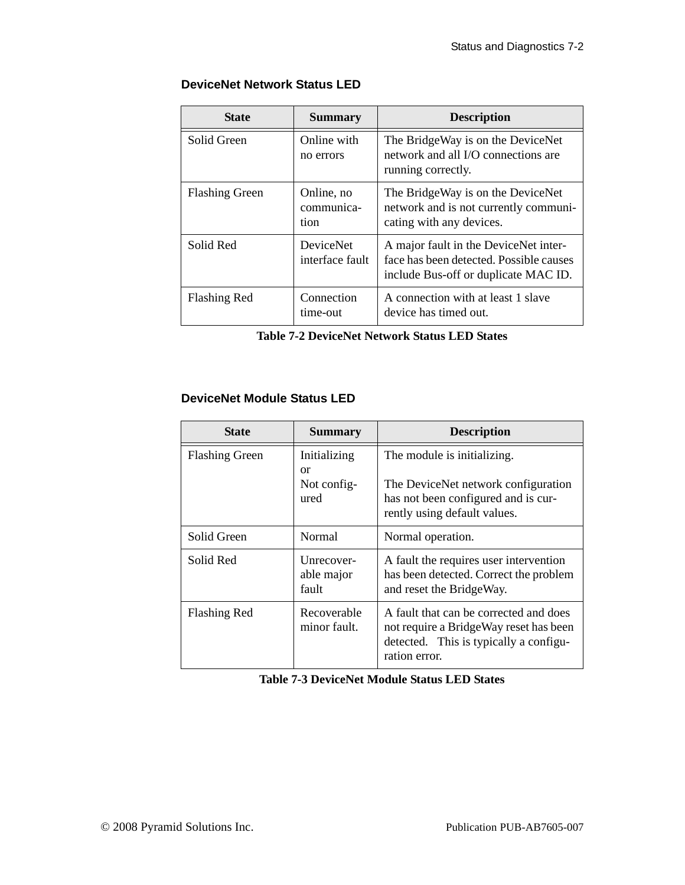### **DeviceNet Network Status LED**

| <b>State</b>          | <b>Summary</b>                   | <b>Description</b>                                                                                                       |
|-----------------------|----------------------------------|--------------------------------------------------------------------------------------------------------------------------|
| Solid Green           | Online with<br>no errors         | The BridgeWay is on the DeviceNet<br>network and all I/O connections are<br>running correctly.                           |
| <b>Flashing Green</b> | Online, no<br>communica-<br>tion | The BridgeWay is on the DeviceNet<br>network and is not currently communi-<br>cating with any devices.                   |
| Solid Red             | DeviceNet<br>interface fault     | A major fault in the DeviceNet inter-<br>face has been detected. Possible causes<br>include Bus-off or duplicate MAC ID. |
| <b>Flashing Red</b>   | Connection<br>time-out           | A connection with at least 1 slave<br>device has timed out.                                                              |

**Table 7-2 DeviceNet Network Status LED States**

### **DeviceNet Module Status LED**

| <b>State</b>          | <b>Summary</b>                    | <b>Description</b>                                                                                                                          |
|-----------------------|-----------------------------------|---------------------------------------------------------------------------------------------------------------------------------------------|
| <b>Flashing Green</b> | Initializing<br><sub>or</sub>     | The module is initializing.                                                                                                                 |
|                       | Not config-<br>ured               | The DeviceNet network configuration<br>has not been configured and is cur-<br>rently using default values.                                  |
| Solid Green           | Normal                            | Normal operation.                                                                                                                           |
| Solid Red             | Unrecover-<br>able major<br>fault | A fault the requires user intervention<br>has been detected. Correct the problem<br>and reset the BridgeWay.                                |
| Flashing Red          | Recoverable<br>minor fault.       | A fault that can be corrected and does<br>not require a BridgeWay reset has been<br>detected. This is typically a configu-<br>ration error. |

**Table 7-3 DeviceNet Module Status LED States**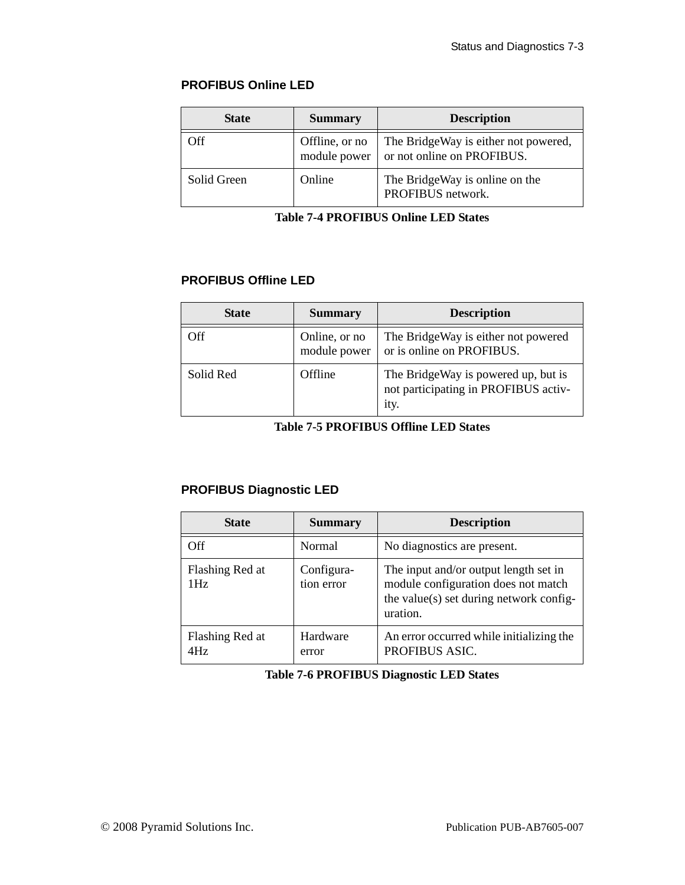### **PROFIBUS Online LED**

| <b>State</b> | <b>Summary</b>                 | <b>Description</b>                                                 |
|--------------|--------------------------------|--------------------------------------------------------------------|
| Off          | Offline, or no<br>module power | The BridgeWay is either not powered,<br>or not online on PROFIBUS. |
| Solid Green  | Online                         | The BridgeWay is online on the<br>PROFIBUS network.                |

**Table 7-4 PROFIBUS Online LED States**

### **PROFIBUS Offline LED**

| <b>State</b> | <b>Summary</b>                | <b>Description</b>                                                                  |
|--------------|-------------------------------|-------------------------------------------------------------------------------------|
| Off          | Online, or no<br>module power | The BridgeWay is either not powered<br>or is online on PROFIBUS.                    |
| Solid Red    | Offline                       | The BridgeWay is powered up, but is<br>not participating in PROFIBUS activ-<br>ity. |

**Table 7-5 PROFIBUS Offline LED States**

### **PROFIBUS Diagnostic LED**

| <b>State</b>           | <b>Summary</b>           | <b>Description</b>                                                                                                                  |
|------------------------|--------------------------|-------------------------------------------------------------------------------------------------------------------------------------|
| Off                    | Normal                   | No diagnostics are present.                                                                                                         |
| Flashing Red at<br>1Hz | Configura-<br>tion error | The input and/or output length set in<br>module configuration does not match<br>the value(s) set during network config-<br>uration. |
| Flashing Red at<br>4Hz | Hardware<br>error        | An error occurred while initializing the<br>PROFIBUS ASIC.                                                                          |

### **Table 7-6 PROFIBUS Diagnostic LED States**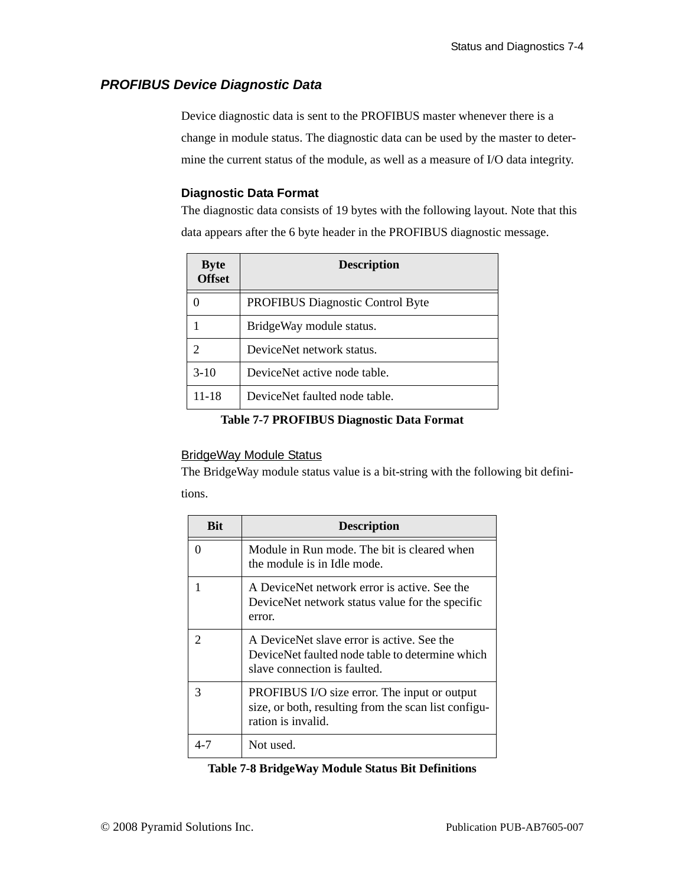### <span id="page-50-1"></span><span id="page-50-0"></span>*PROFIBUS Device Diagnostic Data*

Device diagnostic data is sent to the PROFIBUS master whenever there is a change in module status. The diagnostic data can be used by the master to determine the current status of the module, as well as a measure of I/O data integrity.

### **Diagnostic Data Format**

The diagnostic data consists of 19 bytes with the following layout. Note that this data appears after the 6 byte header in the PROFIBUS diagnostic message.

| <b>Byte</b><br><b>Offset</b> | <b>Description</b>                      |
|------------------------------|-----------------------------------------|
|                              | <b>PROFIBUS Diagnostic Control Byte</b> |
|                              | BridgeWay module status.                |
| $\mathcal{D}$                | DeviceNet network status.               |
| $3-10$                       | DeviceNet active node table.            |
| 11-18                        | DeviceNet faulted node table.           |

### **Table 7-7 PROFIBUS Diagnostic Data Format**

### BridgeWay Module Status

The BridgeWay module status value is a bit-string with the following bit definitions.

| <b>Bit</b> | <b>Description</b>                                                                                                            |
|------------|-------------------------------------------------------------------------------------------------------------------------------|
|            | Module in Run mode. The bit is cleared when<br>the module is in Idle mode.                                                    |
|            | A DeviceNet network error is active. See the<br>DeviceNet network status value for the specific<br>error.                     |
|            | A DeviceNet slave error is active. See the<br>DeviceNet faulted node table to determine which<br>slave connection is faulted. |
| 3          | PROFIBUS I/O size error. The input or output<br>size, or both, resulting from the scan list configu-<br>ration is invalid.    |
|            | Not used.                                                                                                                     |

### **Table 7-8 BridgeWay Module Status Bit Definitions**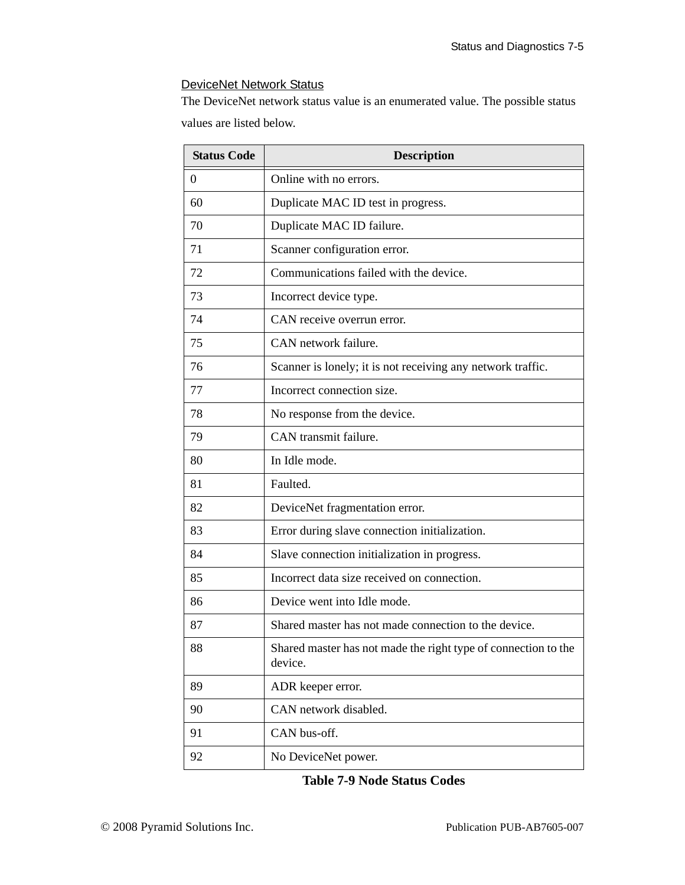### DeviceNet Network Status

The DeviceNet network status value is an enumerated value. The possible status values are listed below.

| <b>Status Code</b> | <b>Description</b>                                                        |
|--------------------|---------------------------------------------------------------------------|
| $\Omega$           | Online with no errors.                                                    |
| 60                 | Duplicate MAC ID test in progress.                                        |
| 70                 | Duplicate MAC ID failure.                                                 |
| 71                 | Scanner configuration error.                                              |
| 72                 | Communications failed with the device.                                    |
| 73                 | Incorrect device type.                                                    |
| 74                 | CAN receive overrun error.                                                |
| 75                 | CAN network failure.                                                      |
| 76                 | Scanner is lonely; it is not receiving any network traffic.               |
| 77                 | Incorrect connection size.                                                |
| 78                 | No response from the device.                                              |
| 79                 | CAN transmit failure.                                                     |
| 80                 | In Idle mode.                                                             |
| 81                 | Faulted.                                                                  |
| 82                 | DeviceNet fragmentation error.                                            |
| 83                 | Error during slave connection initialization.                             |
| 84                 | Slave connection initialization in progress.                              |
| 85                 | Incorrect data size received on connection.                               |
| 86                 | Device went into Idle mode.                                               |
| 87                 | Shared master has not made connection to the device.                      |
| 88                 | Shared master has not made the right type of connection to the<br>device. |
| 89                 | ADR keeper error.                                                         |
| 90                 | CAN network disabled.                                                     |
| 91                 | CAN bus-off.                                                              |
| 92                 | No DeviceNet power.                                                       |

**Table 7-9 Node Status Codes**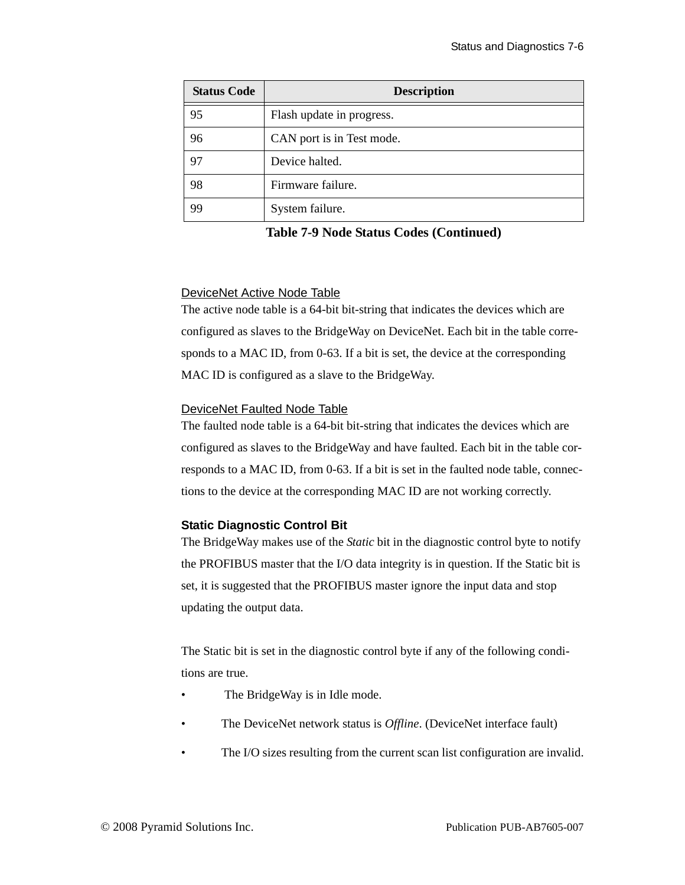| <b>Status Code</b> | <b>Description</b>        |
|--------------------|---------------------------|
| 95                 | Flash update in progress. |
| 96                 | CAN port is in Test mode. |
| 97                 | Device halted.            |
| 98                 | Firmware failure.         |
| 99                 | System failure.           |

**Table 7-9 Node Status Codes (Continued)**

### DeviceNet Active Node Table

The active node table is a 64-bit bit-string that indicates the devices which are configured as slaves to the BridgeWay on DeviceNet. Each bit in the table corresponds to a MAC ID, from 0-63. If a bit is set, the device at the corresponding MAC ID is configured as a slave to the BridgeWay.

### DeviceNet Faulted Node Table

The faulted node table is a 64-bit bit-string that indicates the devices which are configured as slaves to the BridgeWay and have faulted. Each bit in the table corresponds to a MAC ID, from 0-63. If a bit is set in the faulted node table, connections to the device at the corresponding MAC ID are not working correctly.

### **Static Diagnostic Control Bit**

The BridgeWay makes use of the *Static* bit in the diagnostic control byte to notify the PROFIBUS master that the I/O data integrity is in question. If the Static bit is set, it is suggested that the PROFIBUS master ignore the input data and stop updating the output data.

The Static bit is set in the diagnostic control byte if any of the following conditions are true.

- The BridgeWay is in Idle mode.
- The DeviceNet network status is *Offline*. (DeviceNet interface fault)
- The I/O sizes resulting from the current scan list configuration are invalid.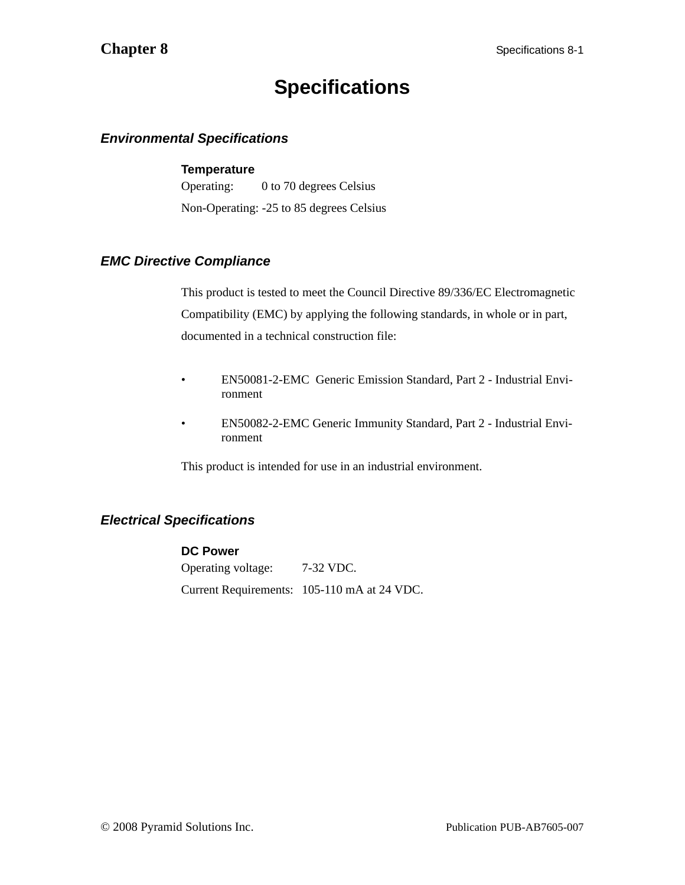## **Specifications**

### <span id="page-53-1"></span><span id="page-53-0"></span>*Environmental Specifications*

### **Temperature**

Operating: 0 to 70 degrees Celsius Non-Operating: -25 to 85 degrees Celsius

### <span id="page-53-2"></span>*EMC Directive Compliance*

This product is tested to meet the Council Directive 89/336/EC Electromagnetic Compatibility (EMC) by applying the following standards, in whole or in part, documented in a technical construction file:

- EN50081-2-EMC Generic Emission Standard, Part 2 Industrial Environment
- EN50082-2-EMC Generic Immunity Standard, Part 2 Industrial Environment

This product is intended for use in an industrial environment.

### <span id="page-53-3"></span>*Electrical Specifications*

### **DC Power**

Operating voltage: 7-32 VDC. Current Requirements: 105-110 mA at 24 VDC.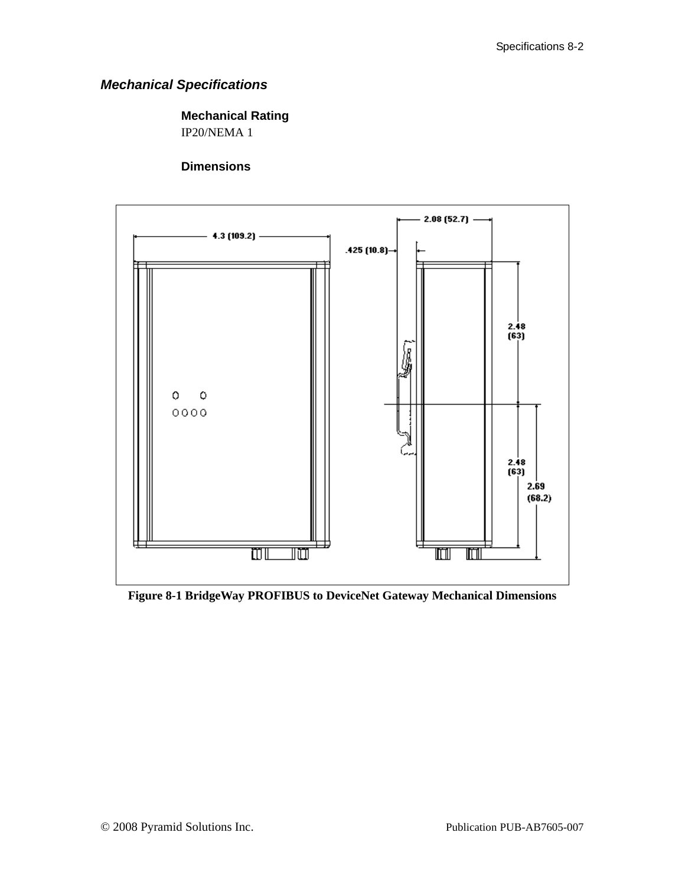### <span id="page-54-0"></span>*Mechanical Specifications*

### **Mechanical Rating**

IP20/NEMA 1

### **Dimensions**



**Figure 8-1 BridgeWay PROFIBUS to DeviceNet Gateway Mechanical Dimensions**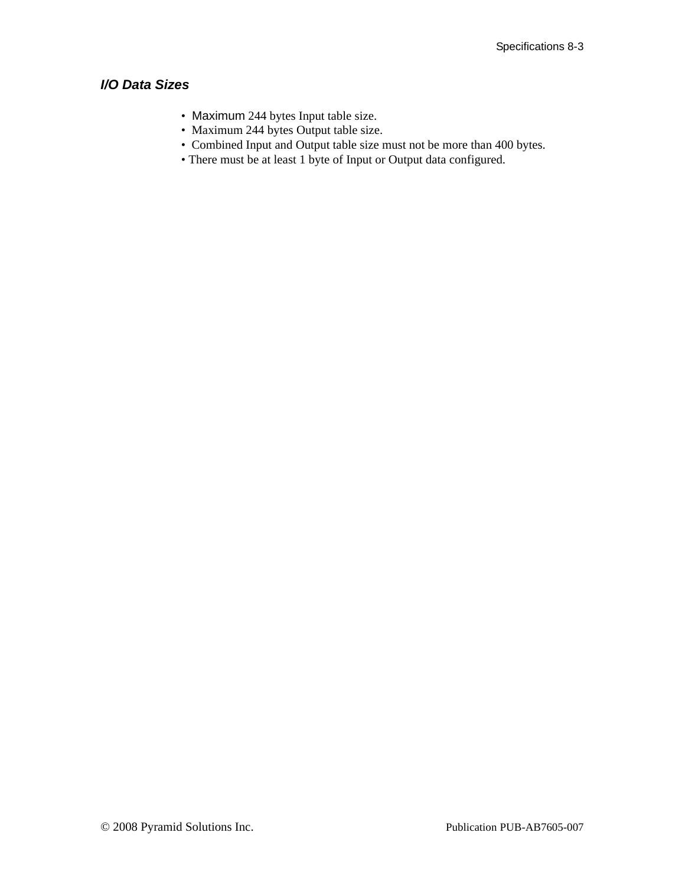### <span id="page-55-0"></span>*I/O Data Sizes*

- Maximum 244 bytes Input table size.
- Maximum 244 bytes Output table size.
- Combined Input and Output table size must not be more than 400 bytes.
- There must be at least 1 byte of Input or Output data configured.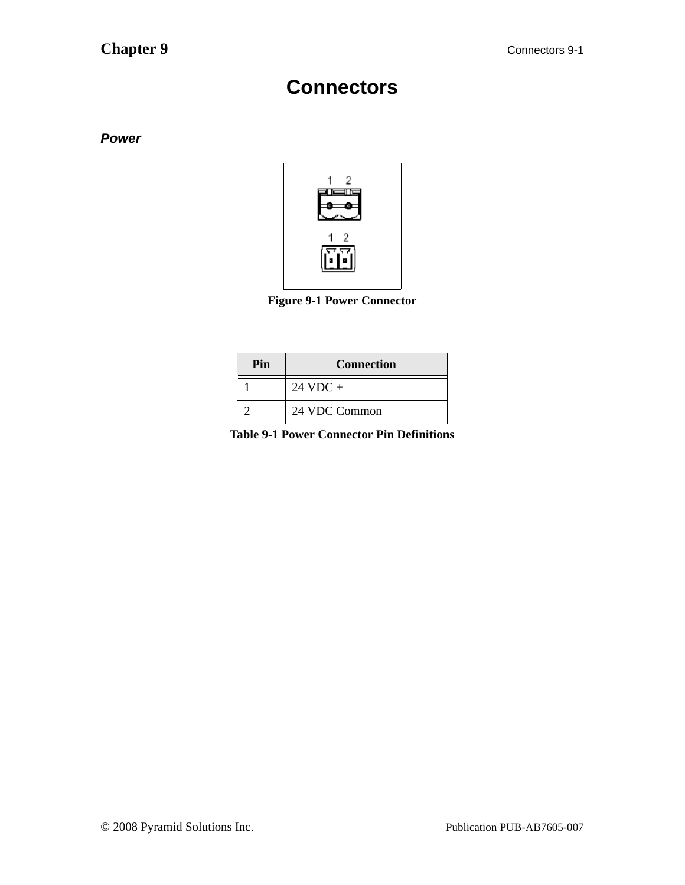### **Connectors**

<span id="page-56-1"></span><span id="page-56-0"></span>*Power*



**Figure 9-1 Power Connector**

| Pin | <b>Connection</b>  |
|-----|--------------------|
|     | $24 \text{ VDC} +$ |
|     | 24 VDC Common      |

**Table 9-1 Power Connector Pin Definitions**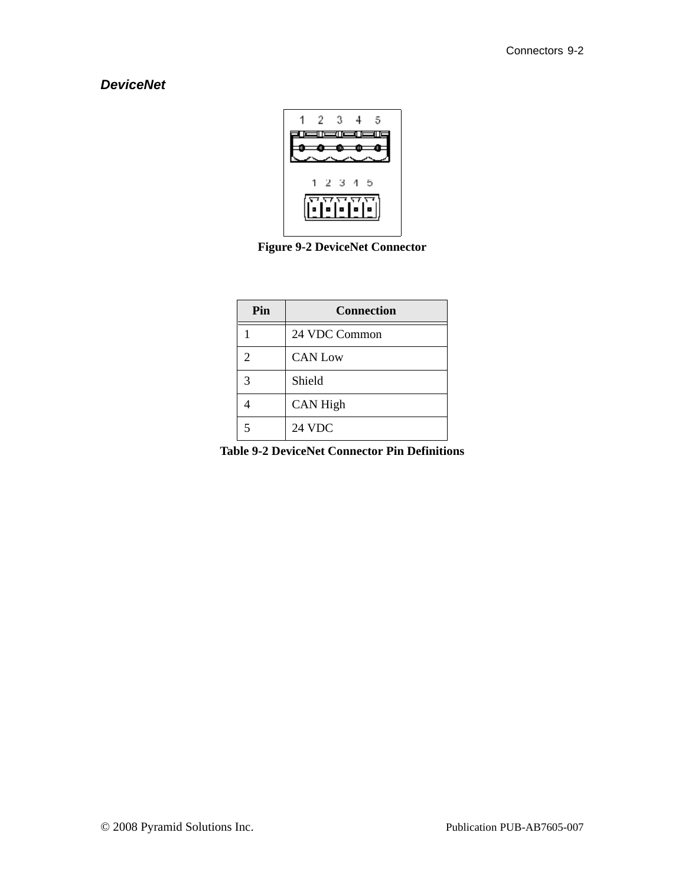### <span id="page-57-0"></span>*DeviceNet*



**Figure 9-2 DeviceNet Connector**

| Pin            | <b>Connection</b> |
|----------------|-------------------|
|                | 24 VDC Common     |
| $\overline{2}$ | <b>CAN Low</b>    |
| 3              | Shield            |
|                | <b>CAN High</b>   |
| 5              | 24 VDC            |

**Table 9-2 DeviceNet Connector Pin Definitions**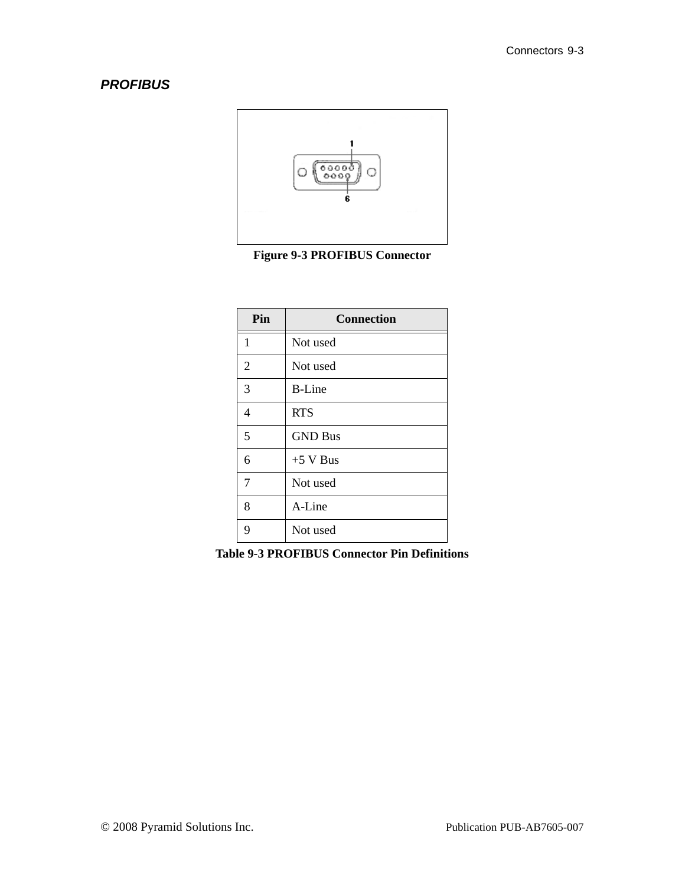### <span id="page-58-0"></span>*PROFIBUS*



**Figure 9-3 PROFIBUS Connector**

| Pin            | <b>Connection</b> |
|----------------|-------------------|
| $\mathbf{1}$   | Not used          |
| $\overline{2}$ | Not used          |
| 3              | <b>B-Line</b>     |
| 4              | <b>RTS</b>        |
| 5              | <b>GND Bus</b>    |
| 6              | $+5$ V Bus        |
| 7              | Not used          |
| 8              | A-Line            |
| 9              | Not used          |

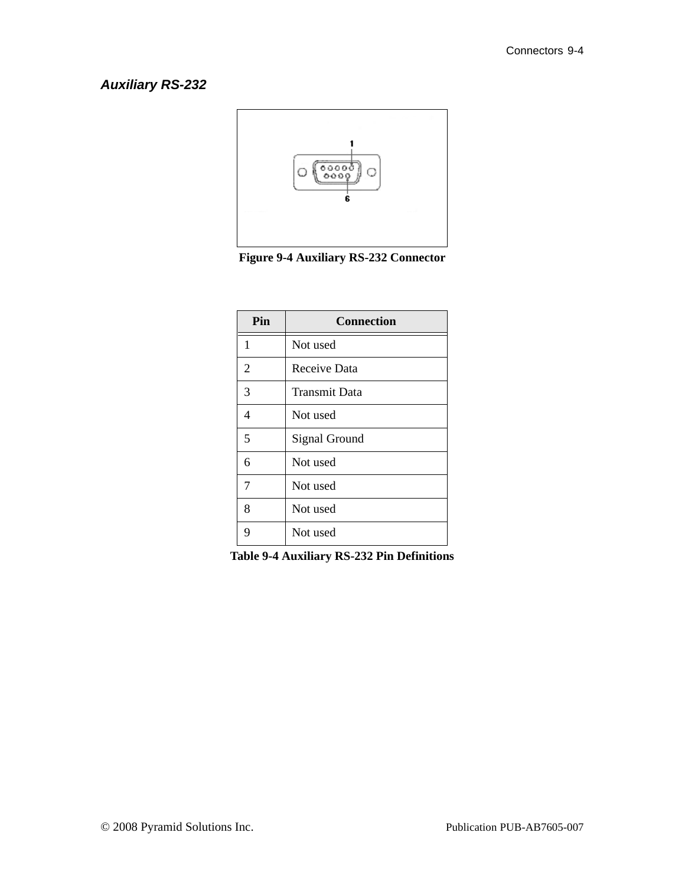### <span id="page-59-0"></span>*Auxiliary RS-232*



**Figure 9-4 Auxiliary RS-232 Connector**

| Pin            | <b>Connection</b>    |
|----------------|----------------------|
| $\mathbf{1}$   | Not used             |
| $\overline{2}$ | Receive Data         |
| 3              | <b>Transmit Data</b> |
| 4              | Not used             |
| 5              | Signal Ground        |
| 6              | Not used             |
| 7              | Not used             |
| 8              | Not used             |
| 9              | Not used             |

**Table 9-4 Auxiliary RS-232 Pin Definitions**